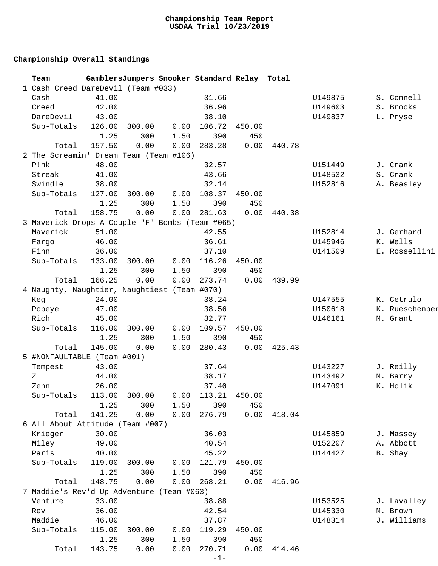## **Championship Overall Standings**

| Team                                            |        |        |      | GamblersJumpers Snooker Standard Relay Total |        |        |         |                |
|-------------------------------------------------|--------|--------|------|----------------------------------------------|--------|--------|---------|----------------|
| 1 Cash Creed DareDevil (Team #033)              |        |        |      |                                              |        |        |         |                |
| Cash                                            | 41.00  |        |      | 31.66                                        |        |        | U149875 | S. Connell     |
| Creed                                           | 42.00  |        |      | 36.96                                        |        |        | U149603 | S. Brooks      |
| DareDevil                                       | 43.00  |        |      | 38.10                                        |        |        | U149837 | L. Pryse       |
| Sub-Totals                                      | 126.00 | 300.00 | 0.00 | 106.72                                       | 450.00 |        |         |                |
|                                                 | 1.25   | 300    | 1.50 | 390                                          | 450    |        |         |                |
| Total                                           | 157.50 | 0.00   | 0.00 | 283.28                                       | 0.00   | 440.78 |         |                |
| 2 The Screamin' Dream Team (Team #106)          |        |        |      |                                              |        |        |         |                |
| P!nk                                            | 48.00  |        |      | 32.57                                        |        |        | U151449 | J. Crank       |
| Streak                                          | 41.00  |        |      | 43.66                                        |        |        | U148532 | S. Crank       |
| Swindle                                         | 38.00  |        |      | 32.14                                        |        |        | U152816 | A. Beasley     |
| Sub-Totals                                      | 127.00 | 300.00 | 0.00 | 108.37                                       | 450.00 |        |         |                |
|                                                 | 1.25   | 300    | 1.50 | 390                                          | 450    |        |         |                |
| Total                                           | 158.75 | 0.00   | 0.00 | 281.63                                       | 0.00   | 440.38 |         |                |
| 3 Maverick Drops A Couple "F" Bombs (Team #065) |        |        |      |                                              |        |        |         |                |
| Maverick                                        | 51.00  |        |      | 42.55                                        |        |        | U152814 | J. Gerhard     |
| Fargo                                           | 46.00  |        |      | 36.61                                        |        |        | U145946 | K. Wells       |
| Finn                                            | 36.00  |        |      | 37.10                                        |        |        | U141509 | E. Rossellini  |
| Sub-Totals                                      | 133.00 | 300.00 | 0.00 | 116.26                                       | 450.00 |        |         |                |
|                                                 | 1.25   | 300    | 1.50 | 390                                          | 450    |        |         |                |
| Total                                           | 166.25 | 0.00   | 0.00 | 273.74                                       | 0.00   | 439.99 |         |                |
| 4 Naughty, Naughtier, Naughtiest (Team #070)    |        |        |      |                                              |        |        |         |                |
| Keg                                             | 24.00  |        |      | 38.24                                        |        |        | U147555 | K. Cetrulo     |
| Popeye                                          | 47.00  |        |      | 38.56                                        |        |        | U150618 | K. Rueschenber |
| Rich                                            | 45.00  |        |      | 32.77                                        |        |        | U146161 | M. Grant       |
| Sub-Totals                                      | 116.00 | 300.00 | 0.00 | 109.57                                       | 450.00 |        |         |                |
|                                                 | 1.25   | 300    | 1.50 | 390                                          | 450    |        |         |                |
| Total                                           | 145.00 | 0.00   | 0.00 | 280.43                                       | 0.00   | 425.43 |         |                |
| 5 #NONFAULTABLE (Team #001)                     |        |        |      |                                              |        |        |         |                |
| Tempest                                         | 43.00  |        |      | 37.64                                        |        |        | U143227 | J. Reilly      |
| Ζ                                               | 44.00  |        |      | 38.17                                        |        |        | U143492 | M. Barry       |
| Zenn                                            | 26.00  |        |      | 37.40                                        |        |        | U147091 | K. Holik       |
| Sub-Totals 113.00 300.00 0.00 113.21 450.00     |        |        |      |                                              |        |        |         |                |
|                                                 | 1.25   | 300    | 1.50 | 390                                          | 450    |        |         |                |
| Total                                           | 141.25 | 0.00   | 0.00 | 276.79                                       | 0.00   | 418.04 |         |                |
| 6 All About Attitude (Team #007)                |        |        |      |                                              |        |        |         |                |
| Krieger                                         | 30.00  |        |      | 36.03                                        |        |        | U145859 | J. Massey      |
| Miley                                           | 49.00  |        |      | 40.54                                        |        |        | U152207 | A. Abbott      |
| Paris                                           | 40.00  |        |      | 45.22                                        |        |        | U144427 | B. Shay        |
| Sub-Totals                                      | 119.00 | 300.00 | 0.00 | 121.79                                       | 450.00 |        |         |                |
|                                                 | 1.25   | 300    | 1.50 | 390                                          | 450    |        |         |                |
| Total                                           | 148.75 | 0.00   | 0.00 | 268.21                                       | 0.00   | 416.96 |         |                |
| 7 Maddie's Rev'd Up AdVenture (Team #063)       |        |        |      |                                              |        |        |         |                |
| Venture                                         | 33.00  |        |      | 38.88                                        |        |        | U153525 | J. Lavalley    |
| Rev                                             | 36.00  |        |      | 42.54                                        |        |        | U145330 | M. Brown       |
| Maddie                                          | 46.00  |        |      | 37.87                                        |        |        | U148314 | J. Williams    |
| Sub-Totals                                      | 115.00 | 300.00 | 0.00 | 119.29                                       | 450.00 |        |         |                |
|                                                 | 1.25   | 300    | 1.50 | 390                                          | 450    |        |         |                |
| Total                                           | 143.75 | 0.00   | 0.00 | 270.71                                       | 0.00   | 414.46 |         |                |
|                                                 |        |        |      | $-1-$                                        |        |        |         |                |
|                                                 |        |        |      |                                              |        |        |         |                |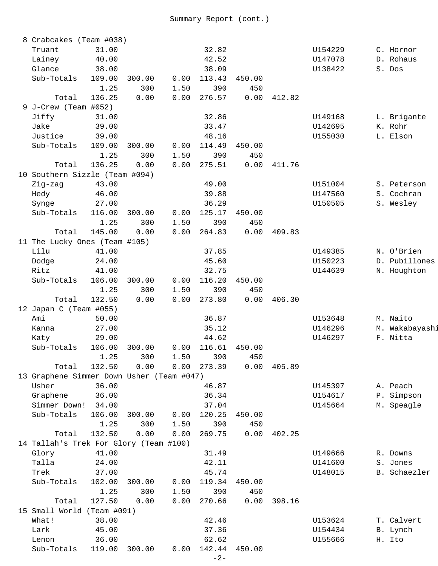| 8 Crabcakes (Team #038)                   |        |        |      |                 |        |        |         |                |
|-------------------------------------------|--------|--------|------|-----------------|--------|--------|---------|----------------|
| Truant                                    | 31.00  |        |      | 32.82           |        |        | U154229 | C. Hornor      |
| Lainey                                    | 40.00  |        |      | 42.52           |        |        | U147078 | D. Rohaus      |
| Glance                                    | 38.00  |        |      | 38.09           |        |        | U138422 | S. Dos         |
| Sub-Totals                                | 109.00 | 300.00 | 0.00 | 113.43          | 450.00 |        |         |                |
|                                           | 1.25   | 300    | 1.50 | 390             | 450    |        |         |                |
| Total                                     | 136.25 | 0.00   | 0.00 | 276.57          | 0.00   | 412.82 |         |                |
| 9 J-Crew (Team #052)                      |        |        |      |                 |        |        |         |                |
| Jiffy                                     | 31.00  |        |      | 32.86           |        |        | U149168 | L. Brigante    |
| Jake                                      | 39.00  |        |      | 33.47           |        |        | U142695 | K. Rohr        |
| Justice                                   | 39.00  |        |      | 48.16           |        |        | U155030 | L. Elson       |
| Sub-Totals                                | 109.00 | 300.00 | 0.00 | 114.49          | 450.00 |        |         |                |
|                                           | 1.25   | 300    | 1.50 | 390             | 450    |        |         |                |
| Total                                     | 136.25 | 0.00   | 0.00 | 275.51          | 0.00   | 411.76 |         |                |
| 10 Southern Sizzle (Team #094)            |        |        |      |                 |        |        |         |                |
| Zig-zag                                   | 43.00  |        |      | 49.00           |        |        | U151004 | S. Peterson    |
| Hedy                                      | 46.00  |        |      | 39.88           |        |        | U147560 | S. Cochran     |
| Synge                                     | 27.00  |        |      | 36.29           |        |        | U150505 | S. Wesley      |
| Sub-Totals                                | 116.00 | 300.00 | 0.00 | 125.17          | 450.00 |        |         |                |
|                                           | 1.25   | 300    | 1.50 | 390             | 450    |        |         |                |
| Total                                     | 145.00 | 0.00   | 0.00 | 264.83          | 0.00   | 409.83 |         |                |
| 11 The Lucky Ones (Team #105)             |        |        |      |                 |        |        |         |                |
| Lilu                                      | 41.00  |        |      | 37.85           |        |        | U149385 | N. O'Brien     |
| Dodge                                     | 24.00  |        |      | 45.60           |        |        | U150223 | D. Pubillones  |
| Ritz                                      | 41.00  |        |      | 32.75           |        |        | U144639 | N. Houghton    |
| Sub-Totals                                | 106.00 | 300.00 | 0.00 | 116.20          | 450.00 |        |         |                |
|                                           | 1.25   | 300    | 1.50 | 390             | 450    |        |         |                |
| Total                                     | 132.50 | 0.00   | 0.00 | 273.80          | 0.00   | 406.30 |         |                |
| 12 Japan C (Team #055)                    |        |        |      |                 |        |        |         |                |
| Ami                                       | 50.00  |        |      | 36.87           |        |        | U153648 | M. Naito       |
| Kanna                                     | 27.00  |        |      | 35.12           |        |        | U146296 | M. Wakabayashi |
| Katy                                      | 29.00  |        |      | 44.62           |        |        | U146297 | F. Nitta       |
| Sub-Totals                                | 106.00 | 300.00 | 0.00 | 116.61          | 450.00 |        |         |                |
|                                           | 1.25   | 300    | 1.50 | 390             | 450    |        |         |                |
| Total                                     | 132.50 | 0.00   | 0.00 | 273.39          | 0.00   | 405.89 |         |                |
| 13 Graphene Simmer Down Usher (Team #047) |        |        |      |                 |        |        |         |                |
| Usher                                     | 36.00  |        |      | 46.87           |        |        | U145397 | A. Peach       |
| Graphene                                  | 36.00  |        |      | 36.34           |        |        | U154617 | P. Simpson     |
| Simmer Down!                              | 34.00  |        |      | 37.04           |        |        | U145664 | M. Speagle     |
| Sub-Totals                                | 106.00 | 300.00 | 0.00 | 120.25          | 450.00 |        |         |                |
|                                           | 1.25   | 300    | 1.50 | 390             | 450    |        |         |                |
| Total                                     | 132.50 | 0.00   | 0.00 | 269.75          | 0.00   | 402.25 |         |                |
| 14 Tallah's Trek For Glory (Team #100)    |        |        |      |                 |        |        |         |                |
| Glory                                     | 41.00  |        |      | 31.49           |        |        | U149666 | R. Downs       |
| Talla                                     | 24.00  |        |      | 42.11           |        |        | U141600 | S. Jones       |
| Trek                                      | 37.00  |        |      | 45.74           |        |        | U148015 | B. Schaezler   |
| Sub-Totals                                | 102.00 | 300.00 | 0.00 | 119.34          | 450.00 |        |         |                |
|                                           | 1.25   | 300    | 1.50 | 390             | 450    |        |         |                |
| Total                                     | 127.50 | 0.00   | 0.00 | 270.66          | 0.00   | 398.16 |         |                |
| 15 Small World (Team #091)                |        |        |      |                 |        |        |         |                |
| What!                                     | 38.00  |        |      | 42.46           |        |        | U153624 | T. Calvert     |
| Lark                                      | 45.00  |        |      | 37.36           |        |        | U154434 | B. Lynch       |
| Lenon                                     | 36.00  |        |      | 62.62           |        |        | U155666 | H. Ito         |
| Sub-Totals                                | 119.00 | 300.00 | 0.00 | 142.44<br>$-2-$ | 450.00 |        |         |                |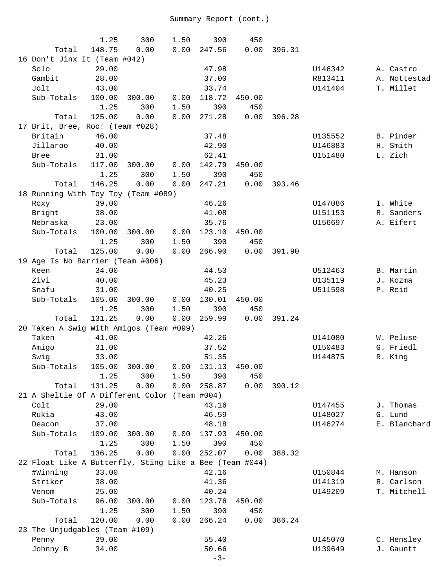|                                                         | 1.25            | 300           | 1.50         | 390             | 450           |        |         |              |
|---------------------------------------------------------|-----------------|---------------|--------------|-----------------|---------------|--------|---------|--------------|
| Total                                                   | 148.75          | 0.00          | 0.00         | 247.56          | 0.00          | 396.31 |         |              |
| 16 Don't Jinx It (Team #042)                            |                 |               |              |                 |               |        |         |              |
| Solo                                                    | 29.00           |               |              | 47.98           |               |        | U146342 | A. Castro    |
| Gambit                                                  | 28.00           |               |              | 37.00           |               |        | R813411 | A. Nottestad |
| Jolt                                                    | 43.00           |               |              | 33.74           |               |        | U141404 | T. Millet    |
| Sub-Totals                                              | 100.00          | 300.00        | 0.00         | 118.72          | 450.00        |        |         |              |
|                                                         | 1.25            | 300           | 1.50         | 390             | 450           |        |         |              |
| Total                                                   | 125.00          | 0.00          | 0.00         | 271.28          | 0.00          | 396.28 |         |              |
| 17 Brit, Bree, Roo! (Team #028)                         |                 |               |              |                 |               |        |         |              |
| Britain                                                 | 46.00           |               |              | 37.48           |               |        | U135552 | B. Pinder    |
| Jillaroo                                                | 40.00           |               |              | 42.90           |               |        | U146883 | H. Smith     |
| <b>Bree</b>                                             | 31.00           |               |              | 62.41           |               |        | U151480 | L. Zich      |
| Sub-Totals                                              | 117.00          | 300.00        | 0.00         | 142.79          | 450.00        |        |         |              |
|                                                         | 1.25            | 300           | 1.50         | 390             | 450           |        |         |              |
| Total                                                   | 146.25          | 0.00          | 0.00         | 247.21          | 0.00          | 393.46 |         |              |
| 18 Running With Toy Toy (Team #089)                     |                 |               |              |                 |               |        |         |              |
| Roxy                                                    | 39.00           |               |              | 46.26           |               |        | U147086 | I. White     |
| Bright<br>Nebraska                                      | 38.00           |               |              | 41.08           |               |        | U151153 | R. Sanders   |
|                                                         | 23.00<br>100.00 | 300.00        | 0.00         | 35.76<br>123.10 |               |        | U156697 | A. Eifert    |
| Sub-Totals                                              | 1.25            | 300           | 1.50         | 390             | 450.00<br>450 |        |         |              |
| Total                                                   | 125.00          | 0.00          | 0.00         | 266.90          | 0.00          | 391.90 |         |              |
| 19 Age Is No Barrier (Team #006)                        |                 |               |              |                 |               |        |         |              |
| Keen                                                    | 34.00           |               |              | 44.53           |               |        | U512463 | B. Martin    |
| Zivi                                                    | 40.00           |               |              | 45.23           |               |        | U135119 | J. Kozma     |
| Snafu                                                   | 31.00           |               |              | 40.25           |               |        | U511598 | P. Reid      |
| Sub-Totals                                              | 105.00          | 300.00        | 0.00         | 130.01          | 450.00        |        |         |              |
|                                                         | 1.25            | 300           | 1.50         | 390             | 450           |        |         |              |
| Total                                                   | 131.25          | 0.00          | 0.00         | 259.99          | 0.00          | 391.24 |         |              |
| 20 Taken A Swig With Amigos (Team #099)                 |                 |               |              |                 |               |        |         |              |
| Taken                                                   | 41.00           |               |              | 42.26           |               |        | U141080 | W. Peluse    |
| Amigo                                                   | 31.00           |               |              | 37.52           |               |        | U150483 | G. Friedl    |
| Swig                                                    | 33.00           |               |              | 51.35           |               |        | U144875 | R. King      |
| Sub-Totals                                              | 105.00          | 300.00        | 0.00         | 131.13          | 450.00        |        |         |              |
|                                                         | 1.25            | 300           | 1.50         | 390             | 450           |        |         |              |
| Total                                                   | 131.25          | 0.00          | 0.00         | 258.87          | 0.00          | 390.12 |         |              |
| 21 A Sheltie Of A Different Color (Team #004)           |                 |               |              |                 |               |        |         |              |
| Colt                                                    | 29.00           |               |              | 43.16           |               |        | U147455 | J. Thomas    |
| Rukia                                                   | 43.00           |               |              | 46.59           |               |        | U148027 | G. Lund      |
| Deacon                                                  | 37.00           |               |              | 48.18           |               |        | U146274 | E. Blanchard |
| Sub-Totals                                              | 109.00<br>1.25  | 300.00<br>300 | 0.00<br>1.50 | 137.93          | 450.00<br>450 |        |         |              |
| Total                                                   | 136.25          | 0.00          | 0.00         | 390<br>252.07   | 0.00          | 388.32 |         |              |
| 22 Float Like A Butterfly, Sting Like a Bee (Team #044) |                 |               |              |                 |               |        |         |              |
| #Winning                                                | 33.00           |               |              | 42.16           |               |        | U150844 | M. Hanson    |
| Striker                                                 | 38.00           |               |              | 41.36           |               |        | U141319 | R. Carlson   |
| Venom                                                   | 25.00           |               |              | 40.24           |               |        | U149209 | T. Mitchell  |
| Sub-Totals                                              | 96.00           | 300.00        | 0.00         | 123.76          | 450.00        |        |         |              |
|                                                         | 1.25            | 300           | 1.50         | 390             | 450           |        |         |              |
| Total                                                   | 120.00          | 0.00          | 0.00         | 266.24          | 0.00          | 386.24 |         |              |
| 23 The Unjudgables (Team #109)                          |                 |               |              |                 |               |        |         |              |
| Penny                                                   | 39.00           |               |              | 55.40           |               |        | U145070 | C. Hensley   |
| Johnny B                                                | 34.00           |               |              | 50.66           |               |        | U139649 | J. Gauntt    |
|                                                         |                 |               |              | $-3-$           |               |        |         |              |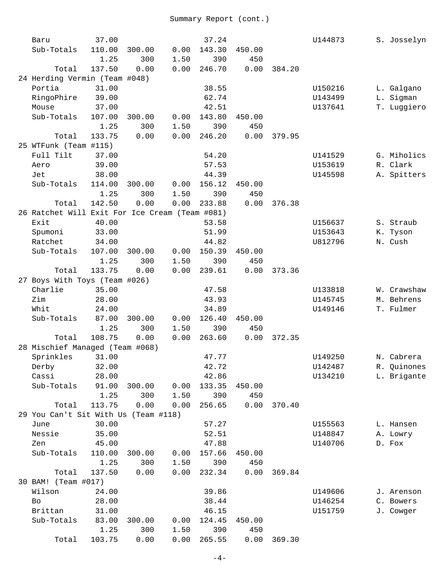| Baru                                           | 37.00  |        |      | 37.24  |        |        | U144873 | S. Josselyn |
|------------------------------------------------|--------|--------|------|--------|--------|--------|---------|-------------|
| Sub-Totals                                     | 110.00 | 300.00 | 0.00 | 143.30 | 450.00 |        |         |             |
|                                                | 1.25   | 300    | 1.50 | 390    | 450    |        |         |             |
| Total                                          | 137.50 | 0.00   | 0.00 | 246.70 | 0.00   | 384.20 |         |             |
| 24 Herding Vermin (Team #048)                  |        |        |      |        |        |        |         |             |
| Portia                                         | 31.00  |        |      | 38.55  |        |        | U150216 | L. Galgano  |
| RingoPhire                                     | 39.00  |        |      | 62.74  |        |        | U143499 | L. Sigman   |
| Mouse                                          | 37.00  |        |      | 42.51  |        |        | U137641 | T. Luggiero |
| Sub-Totals                                     | 107.00 | 300.00 | 0.00 | 143.80 | 450.00 |        |         |             |
|                                                | 1.25   | 300    | 1.50 | 390    | 450    |        |         |             |
| Total                                          | 133.75 | 0.00   | 0.00 | 246.20 | 0.00   | 379.95 |         |             |
| 25 WTFunk (Team #115)                          |        |        |      |        |        |        |         |             |
| Full Tilt                                      | 37.00  |        |      | 54.20  |        |        | U141529 | G. Miholics |
| Aero                                           | 39.00  |        |      | 57.53  |        |        | U153619 | R. Clark    |
| Jet                                            | 38.00  |        |      | 44.39  |        |        | U145598 | A. Spitters |
| Sub-Totals                                     | 114.00 | 300.00 | 0.00 | 156.12 | 450.00 |        |         |             |
|                                                | 1.25   | 300    | 1.50 | 390    | 450    |        |         |             |
| Total                                          | 142.50 | 0.00   | 0.00 | 233.88 | 0.00   | 376.38 |         |             |
| 26 Ratchet Will Exit For Ice Cream (Team #081) |        |        |      |        |        |        |         |             |
| Exit                                           | 40.00  |        |      | 53.58  |        |        | U156637 | S. Straub   |
| Spumoni                                        | 33.00  |        |      | 51.99  |        |        | U153643 | K. Tyson    |
| Ratchet                                        | 34.00  |        |      | 44.82  |        |        | U812796 | N. Cush     |
| Sub-Totals                                     | 107.00 | 300.00 | 0.00 | 150.39 | 450.00 |        |         |             |
|                                                | 1.25   | 300    | 1.50 | 390    | 450    |        |         |             |
| Total                                          | 133.75 | 0.00   | 0.00 | 239.61 | 0.00   | 373.36 |         |             |
| 27 Boys With Toys (Team #026)                  |        |        |      |        |        |        |         |             |
| Charlie                                        | 35.00  |        |      | 47.58  |        |        | U133818 | W. Crawshaw |
| Zim                                            | 28.00  |        |      | 43.93  |        |        | U145745 | M. Behrens  |
| Whit                                           | 24.00  |        |      | 34.89  |        |        | U149146 | T. Fulmer   |
| Sub-Totals                                     | 87.00  | 300.00 | 0.00 | 126.40 | 450.00 |        |         |             |
|                                                | 1.25   | 300    | 1.50 | 390    | 450    |        |         |             |
| Total                                          | 108.75 | 0.00   | 0.00 | 263.60 | 0.00   | 372.35 |         |             |
| 28 Mischief Managed (Team #068)                |        |        |      |        |        |        |         |             |
| Sprinkles                                      | 31.00  |        |      | 47.77  |        |        | U149250 | N. Cabrera  |
| Derby                                          | 32.00  |        |      | 42.72  |        |        | U142487 | R. Quinones |
| Cassi                                          | 28.00  |        |      | 42.86  |        |        | U134210 | L. Brigante |
| Sub-Totals                                     | 91.00  | 300.00 | 0.00 | 133.35 | 450.00 |        |         |             |
|                                                | 1.25   | 300    | 1.50 | 390    | 450    |        |         |             |
| Total                                          | 113.75 | 0.00   | 0.00 | 256.65 | 0.00   | 370.40 |         |             |
| 29 You Can't Sit With Us (Team #118)           |        |        |      |        |        |        |         |             |
| June                                           | 30.00  |        |      | 57.27  |        |        | U155563 | L. Hansen   |
| Nessie                                         | 35.00  |        |      | 52.51  |        |        | U148847 | A. Lowry    |
| Zen                                            | 45.00  |        |      | 47.88  |        |        | U140706 | D. Fox      |
| Sub-Totals                                     | 110.00 | 300.00 | 0.00 | 157.66 | 450.00 |        |         |             |
|                                                | 1.25   | 300    | 1.50 | 390    | 450    |        |         |             |
| Total                                          | 137.50 | 0.00   | 0.00 | 232.34 | 0.00   | 369.84 |         |             |
| 30 BAM! (Team #017)                            |        |        |      |        |        |        |         |             |
| Wilson                                         | 24.00  |        |      | 39.86  |        |        | U149606 | J. Arenson  |
| Bo                                             | 28.00  |        |      | 38.44  |        |        | U146254 | C. Bowers   |
| Brittan                                        | 31.00  |        |      | 46.15  |        |        | U151759 | J. Cowger   |
| Sub-Totals                                     | 83.00  | 300.00 | 0.00 | 124.45 | 450.00 |        |         |             |
|                                                | 1.25   | 300    | 1.50 | 390    | 450    |        |         |             |
| Total                                          | 103.75 | 0.00   | 0.00 | 265.55 | 0.00   | 369.30 |         |             |
|                                                |        |        |      |        |        |        |         |             |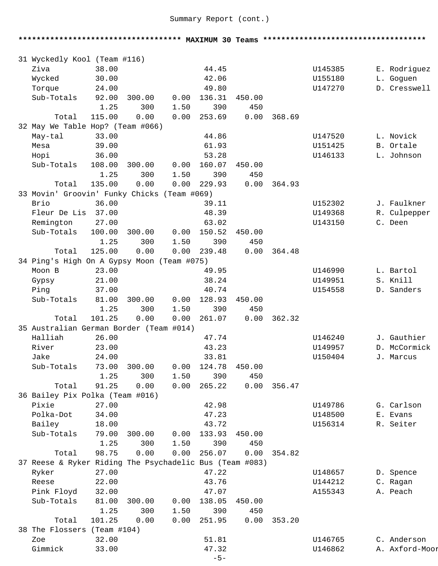**\*\*\*\*\*\*\*\*\*\*\*\*\*\*\*\*\*\*\*\*\*\*\*\*\*\*\*\*\*\*\*\*\*\*\*\* MAXIMUM 30 Teams \*\*\*\*\*\*\*\*\*\*\*\*\*\*\*\*\*\*\*\*\*\*\*\*\*\*\*\*\*\*\*\*\*\*\*\***  31 Wyckedly Kool (Team #116) Ziva 38.00 44.45 U145385 E. Rodriguez Wycked 30.00 42.06 U155180 L. Goguen Torque 24.00 49.80 U147270 D. Cresswell Sub-Totals 92.00 300.00 0.00 136.31 450.00 1.25 300 1.50 390 450 Total 115.00 0.00 0.00 253.69 0.00 368.69 32 May We Table Hop? (Team #066) May-tal 33.00 44.86 U147520 L. Novick Mesa 39.00 61.93 U151425 B. Ortale Hopi 36.00 53.28 U146133 L. Johnson Sub-Totals 108.00 300.00 0.00 160.07 450.00 1.25 300 1.50 390 450 Total 135.00 0.00 0.00 229.93 0.00 364.93 33 Movin' Groovin' Funky Chicks (Team #069) Brio 36.00 39.11 U152302 J. Faulkner Fleur De Lis 37.00 48.39 U149368 R. Culpepper Remington 27.00 63.02 U143150 C. Deen Sub-Totals 100.00 300.00 0.00 150.52 450.00 1.25 300 1.50 390 450 Total 125.00 0.00 0.00 239.48 0.00 364.48 34 Ping's High On A Gypsy Moon (Team #075) Moon B 23.00 49.95 U146990 L. Bartol Gypsy 21.00 38.24 U149951 S. Knill Ping 37.00 40.74 U154558 D. Sanders Sub-Totals 81.00 300.00 0.00 128.93 450.00 1.25 300 1.50 390 450 Total 101.25 0.00 0.00 261.07 0.00 362.32 35 Australian German Border (Team #014) Halliah 26.00 47.74 U146240 J. Gauthier River 23.00 43.23 U149957 D. McCormick Jake 24.00 33.81 U150404 J. Marcus Sub-Totals 73.00 300.00 0.00 124.78 450.00 1.25 300 1.50 390 450 Total 91.25 0.00 0.00 265.22 0.00 356.47 36 Bailey Pix Polka (Team #016) Pixie 27.00 42.98 U149786 G. Carlson Polka-Dot 34.00 47.23 U148500 E. Evans Bailey 18.00 43.72 U156314 R. Seiter Sub-Totals 79.00 300.00 0.00 133.93 450.00 1.25 300 1.50 390 450 Total 98.75 0.00 0.00 256.07 0.00 354.82 37 Reese & Ryker Riding The Psychadelic Bus (Team #083) Ryker 27.00 47.22 U148657 D. Spence Reese 22.00 43.76 U144212 C. Ragan Pink Floyd 32.00 47.07 A155343 A. Peach Sub-Totals 81.00 300.00 0.00 138.05 450.00 1.25 300 1.50 390 450 Total 101.25 0.00 0.00 251.95 0.00 353.20 38 The Flossers (Team #104) Zoe 32.00 51.81 U146765 C. Anderson Gimmick 33.00 47.32 U146862 A. Axford-Moor

```
-5-
```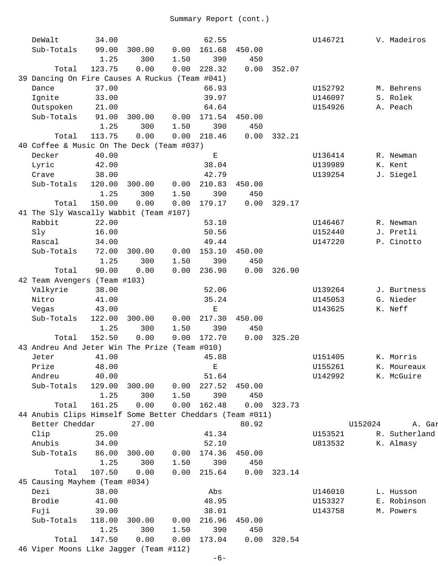| DeWalt                                                   | 34.00  |        |      | 62.55         |        |        | U146721 |         | V. Madeiros   |
|----------------------------------------------------------|--------|--------|------|---------------|--------|--------|---------|---------|---------------|
| Sub-Totals                                               | 99.00  | 300.00 | 0.00 | 161.68        | 450.00 |        |         |         |               |
|                                                          | 1.25   | 300    | 1.50 | 390           | 450    |        |         |         |               |
| Total                                                    | 123.75 | 0.00   | 0.00 | 228.32        | 0.00   | 352.07 |         |         |               |
| 39 Dancing On Fire Causes A Ruckus (Team #041)           |        |        |      |               |        |        |         |         |               |
| Dance                                                    | 37.00  |        |      | 66.93         |        |        | U152792 |         | M. Behrens    |
| Ignite                                                   | 33.00  |        |      | 39.97         |        |        | U146097 |         | S. Rolek      |
| Outspoken                                                | 21.00  |        |      | 64.64         |        |        | U154926 |         | A. Peach      |
| Sub-Totals                                               | 91.00  | 300.00 | 0.00 | 171.54        | 450.00 |        |         |         |               |
|                                                          | 1.25   | 300    | 1.50 | 390           | 450    |        |         |         |               |
| Total                                                    | 113.75 | 0.00   |      | 0.00 218.46   | 0.00   | 332.21 |         |         |               |
| 40 Coffee & Music On The Deck (Team #037)                |        |        |      |               |        |        |         |         |               |
| Decker                                                   | 40.00  |        |      | $\mathbf E$   |        |        | U136414 |         | R. Newman     |
| Lyric                                                    | 42.00  |        |      | 38.04         |        |        | U139989 |         | K. Kent       |
| Crave                                                    | 38.00  |        |      | 42.79         |        |        | U139254 |         | J. Siegel     |
| Sub-Totals                                               | 120.00 | 300.00 | 0.00 | 210.83        | 450.00 |        |         |         |               |
|                                                          | 1.25   | 300    | 1.50 | 390           | 450    |        |         |         |               |
| Total                                                    | 150.00 | 0.00   | 0.00 | 179.17        | 0.00   | 329.17 |         |         |               |
| 41 The Sly Wascally Wabbit (Team #107)                   |        |        |      |               |        |        |         |         |               |
| Rabbit                                                   | 22.00  |        |      | 53.10         |        |        | U146467 |         | R. Newman     |
| Sly                                                      | 16.00  |        |      | 50.56         |        |        | U152440 |         | J. Pretli     |
| Rascal                                                   | 34.00  |        |      | 49.44         |        |        | U147220 |         | P. Cinotto    |
| Sub-Totals                                               | 72.00  | 300.00 | 0.00 | 153.10        | 450.00 |        |         |         |               |
|                                                          | 1.25   | 300    | 1.50 | 390           | 450    |        |         |         |               |
| Total                                                    | 90.00  | 0.00   | 0.00 | 236.90        | 0.00   | 326.90 |         |         |               |
| 42 Team Avengers (Team #103)                             |        |        |      |               |        |        |         |         |               |
| Valkyrie                                                 | 38.00  |        |      | 52.06         |        |        | U139264 |         | J. Burtness   |
| Nitro                                                    | 41.00  |        |      | 35.24         |        |        | U145053 |         | G. Nieder     |
| Vegas                                                    | 43.00  |        |      | $\mathbf E$   |        |        | U143625 |         | K. Neff       |
| Sub-Totals                                               | 122.00 | 300.00 | 0.00 | 217.30        | 450.00 |        |         |         |               |
|                                                          | 1.25   | 300    | 1.50 | 390           | 450    |        |         |         |               |
| Total                                                    | 152.50 | 0.00   | 0.00 | 172.70        | 0.00   | 325.20 |         |         |               |
| 43 Andreu And Jeter Win The Prize (Team #010)            |        |        |      |               |        |        |         |         |               |
| Jeter                                                    | 41.00  |        |      | 45.88         |        |        | U151405 |         | K. Morris     |
| Prize                                                    | 48.00  |        |      | $\mathbf E$   |        |        | U155261 |         | K. Moureaux   |
| Andreu                                                   | 40.00  |        |      | 51.64         |        |        | U142992 |         | K. McGuire    |
| Sub-Totals                                               | 129.00 | 300.00 | 0.00 | 227.52        | 450.00 |        |         |         |               |
|                                                          | 1.25   | 300    | 1.50 | 390           | 450    |        |         |         |               |
| Total                                                    | 161.25 | 0.00   | 0.00 | 162.48        | 0.00   | 323.73 |         |         |               |
| 44 Anubis Clips Himself Some Better Cheddars (Team #011) |        |        |      |               |        |        |         |         |               |
| Better Cheddar                                           |        | 27.00  |      |               | 80.92  |        |         | U152024 | A. Gar        |
| Clip                                                     | 25.00  |        |      | 41.34         |        |        | U153521 |         | R. Sutherland |
| Anubis                                                   | 34.00  |        |      | 52.10         |        |        | U813532 |         | K. Almasy     |
| Sub-Totals                                               | 86.00  | 300.00 | 0.00 | 174.36        | 450.00 |        |         |         |               |
|                                                          | 1.25   | 300    | 1.50 | 390           | 450    |        |         |         |               |
| Total                                                    | 107.50 | 0.00   |      | $0.00$ 215.64 | 0.00   | 323.14 |         |         |               |
| 45 Causing Mayhem (Team #034)                            |        |        |      |               |        |        |         |         |               |
| Dezi                                                     | 38.00  |        |      | Abs           |        |        | U146010 |         | L. Husson     |
| Brodie                                                   | 41.00  |        |      | 48.95         |        |        | U153327 |         | E. Robinson   |
| Fuji                                                     | 39.00  |        |      | 38.01         |        |        | U143758 |         | M. Powers     |
| Sub-Totals                                               | 118.00 | 300.00 | 0.00 | 216.96        | 450.00 |        |         |         |               |
|                                                          | 1.25   | 300    | 1.50 | 390           | 450    |        |         |         |               |
| Total                                                    | 147.50 | 0.00   | 0.00 | 173.04        | 0.00   | 320.54 |         |         |               |
| 46 Viper Moons Like Jagger (Team #112)                   |        |        |      |               |        |        |         |         |               |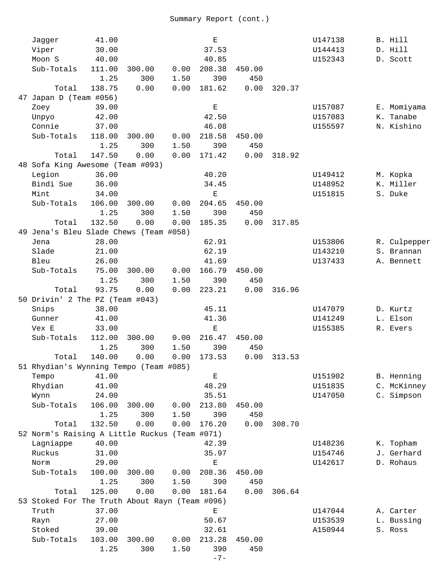| Jagger                                         | 41.00  |        |      | $\mathbf E$ |        |        | U147138 | B. Hill      |
|------------------------------------------------|--------|--------|------|-------------|--------|--------|---------|--------------|
| Viper                                          | 30.00  |        |      | 37.53       |        |        | U144413 | D. Hill      |
| Moon S                                         | 40.00  |        |      | 40.85       |        |        | U152343 | D. Scott     |
| Sub-Totals                                     | 111.00 | 300.00 | 0.00 | 208.38      | 450.00 |        |         |              |
|                                                | 1.25   | 300    | 1.50 | 390         | 450    |        |         |              |
| Total                                          | 138.75 | 0.00   | 0.00 | 181.62      | 0.00   | 320.37 |         |              |
| 47 Japan D (Team #056)                         |        |        |      |             |        |        |         |              |
| Zoey                                           | 39.00  |        |      | $\mathbf E$ |        |        | U157087 | E. Momiyama  |
| Unpyo                                          | 42.00  |        |      | 42.50       |        |        | U157083 | K. Tanabe    |
| Connie                                         | 37.00  |        |      | 46.08       |        |        | U155597 | N. Kishino   |
| Sub-Totals                                     | 118.00 | 300.00 | 0.00 | 218.58      | 450.00 |        |         |              |
|                                                | 1.25   | 300    | 1.50 | 390         | 450    |        |         |              |
| Total                                          | 147.50 | 0.00   | 0.00 | 171.42      | 0.00   | 318.92 |         |              |
| 48 Sofa King Awesome (Team #093)               |        |        |      |             |        |        |         |              |
| Legion                                         | 36.00  |        |      | 40.20       |        |        | U149412 | M. Kopka     |
| Bindi Sue                                      | 36.00  |        |      | 34.45       |        |        | U148952 | K. Miller    |
| Mint                                           | 34.00  |        |      | Ε           |        |        | U151815 | S. Duke      |
| Sub-Totals                                     | 106.00 | 300.00 | 0.00 | 204.65      | 450.00 |        |         |              |
|                                                | 1.25   | 300    | 1.50 | 390         | 450    |        |         |              |
| Total                                          | 132.50 | 0.00   | 0.00 | 185.35      | 0.00   | 317.85 |         |              |
| 49 Jena's Bleu Slade Chews (Team #058)         |        |        |      |             |        |        |         |              |
| Jena                                           | 28.00  |        |      | 62.91       |        |        | U153806 | R. Culpepper |
| Slade                                          | 21.00  |        |      | 62.19       |        |        | U143210 | S. Brannan   |
| Bleu                                           | 26.00  |        |      | 41.69       |        |        | U137433 | A. Bennett   |
| Sub-Totals                                     | 75.00  | 300.00 | 0.00 | 166.79      | 450.00 |        |         |              |
|                                                | 1.25   | 300    | 1.50 | 390         | 450    |        |         |              |
| Total                                          | 93.75  | 0.00   | 0.00 | 223.21      | 0.00   | 316.96 |         |              |
| 50 Drivin' 2 The PZ (Team #043)                |        |        |      |             |        |        |         |              |
| Snips                                          | 38.00  |        |      | 45.11       |        |        | U147079 | D. Kurtz     |
| Gunner                                         | 41.00  |        |      | 41.36       |        |        | U141249 | L. Elson     |
| Vex E                                          | 33.00  |        |      | $\mathbf E$ |        |        | U155385 | R. Evers     |
| Sub-Totals                                     | 112.00 | 300.00 | 0.00 | 216.47      | 450.00 |        |         |              |
|                                                | 1.25   | 300    | 1.50 | 390         | 450    |        |         |              |
| Total                                          | 140.00 | 0.00   | 0.00 | 173.53      | 0.00   | 313.53 |         |              |
| 51 Rhydian's Wynning Tempo (Team #085)         |        |        |      |             |        |        |         |              |
| Tempo                                          | 41.00  |        |      | $\mathbf E$ |        |        | U151902 | B. Henning   |
| Rhydian                                        | 41.00  |        |      | 48.29       |        |        | U151835 | C. McKinney  |
| Wynn                                           | 24.00  |        |      | 35.51       |        |        | U147050 | C. Simpson   |
| Sub-Totals                                     | 106.00 | 300.00 | 0.00 | 213.80      | 450.00 |        |         |              |
|                                                | 1.25   | 300    | 1.50 | 390         | 450    |        |         |              |
| Total                                          | 132.50 | 0.00   | 0.00 | 176.20      | 0.00   | 308.70 |         |              |
| 52 Norm's Raising A Little Ruckus (Team #071)  |        |        |      |             |        |        |         |              |
| Lagniappe                                      | 40.00  |        |      | 42.39       |        |        | U148236 | K. Topham    |
| Ruckus                                         | 31.00  |        |      | 35.97       |        |        | U154746 | J. Gerhard   |
| Norm                                           | 29.00  |        |      | $\mathbf E$ |        |        | U142617 | D. Rohaus    |
| Sub-Totals                                     | 100.00 | 300.00 | 0.00 | 208.36      | 450.00 |        |         |              |
|                                                | 1.25   | 300    | 1.50 | 390         | 450    |        |         |              |
| Total                                          | 125.00 | 0.00   | 0.00 | 181.64      | 0.00   | 306.64 |         |              |
| 53 Stoked For The Truth About Rayn (Team #096) |        |        |      |             |        |        |         |              |
| Truth                                          | 37.00  |        |      | $\mathbf E$ |        |        | U147044 | A. Carter    |
| Rayn                                           | 27.00  |        |      | 50.67       |        |        | U153539 | L. Bussing   |
| Stoked                                         | 39.00  |        |      | 32.61       |        |        | A150944 | S. Ross      |
| Sub-Totals                                     | 103.00 | 300.00 | 0.00 | 213.28      | 450.00 |        |         |              |
|                                                | 1.25   | 300    | 1.50 | 390         | 450    |        |         |              |
|                                                |        |        |      | $-7-$       |        |        |         |              |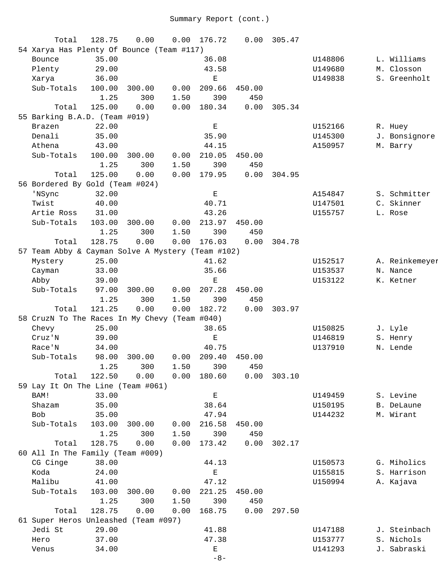| Total                                             | 128.75 | 0.00         | 0.00 | 176.72        | 0.00   | 305.47 |         |                |
|---------------------------------------------------|--------|--------------|------|---------------|--------|--------|---------|----------------|
| 54 Xarya Has Plenty Of Bounce (Team #117)         |        |              |      |               |        |        |         |                |
| Bounce                                            | 35.00  |              |      | 36.08         |        |        | U148806 | L. Williams    |
| Plenty                                            | 29.00  |              |      | 43.58         |        |        | U149680 | M. Closson     |
| Xarya                                             | 36.00  |              |      | Е             |        |        | U149838 | S. Greenholt   |
| Sub-Totals                                        | 100.00 | 300.00       | 0.00 | 209.66        | 450.00 |        |         |                |
|                                                   | 1.25   | 300          | 1.50 | 390           | 450    |        |         |                |
| Total                                             | 125.00 | 0.00         | 0.00 | 180.34        | 0.00   | 305.34 |         |                |
| 55 Barking B.A.D. (Team #019)                     |        |              |      |               |        |        |         |                |
| Brazen                                            | 22.00  |              |      | $\mathbf E$   |        |        | U152166 | R. Huey        |
| Denali                                            | 35.00  |              |      | 35.90         |        |        | U145300 | J. Bonsignore  |
| Athena                                            | 43.00  |              |      | 44.15         |        |        | A150957 | M. Barry       |
| Sub-Totals                                        | 100.00 | 300.00       | 0.00 | 210.05        | 450.00 |        |         |                |
|                                                   | 1.25   | 300          | 1.50 | 390           | 450    |        |         |                |
| Total                                             | 125.00 | 0.00         | 0.00 | 179.95        | 0.00   | 304.95 |         |                |
| 56 Bordered By Gold (Team #024)                   |        |              |      |               |        |        |         |                |
| 'NSync                                            | 32.00  |              |      | $\mathbf E$   |        |        | A154847 | S. Schmitter   |
| Twist                                             | 40.00  |              |      | 40.71         |        |        | U147501 | C. Skinner     |
| Artie Ross                                        | 31.00  |              |      | 43.26         |        |        | U155757 | L. Rose        |
| Sub-Totals                                        | 103.00 | 300.00       | 0.00 | 213.97        | 450.00 |        |         |                |
|                                                   | 1.25   | 300          | 1.50 | 390           | 450    |        |         |                |
| Total                                             | 128.75 | 0.00         | 0.00 | 176.03        | 0.00   | 304.78 |         |                |
| 57 Team Abby & Cayman Solve A Mystery (Team #102) |        |              |      |               |        |        |         |                |
| Mystery                                           | 25.00  |              |      | 41.62         |        |        | U152517 | A. Reinkemeyer |
| Cayman                                            | 33.00  |              |      | 35.66         |        |        | U153537 | N. Nance       |
| Abby                                              | 39.00  |              |      | $\mathbf E$   |        |        | U153122 | K. Ketner      |
| Sub-Totals                                        | 97.00  | 300.00       | 0.00 | 207.28        | 450.00 |        |         |                |
|                                                   | 1.25   | 300          | 1.50 | 390           | 450    |        |         |                |
| Total                                             | 121.25 | 0.00         | 0.00 | 182.72        | 0.00   | 303.97 |         |                |
| 58 CruzN To The Races In My Chevy (Team #040)     |        |              |      |               |        |        |         |                |
| Chevy                                             | 25.00  |              |      | 38.65         |        |        | U150825 | J. Lyle        |
| Cruz'N                                            | 39.00  |              |      | $\mathbf E$   |        |        | U146819 | S. Henry       |
| Race'N                                            | 34.00  |              |      | 40.75         |        |        | U137910 | N. Lende       |
| Sub-Totals                                        |        | 98.00 300.00 |      | $0.00$ 209.40 | 450.00 |        |         |                |
|                                                   | 1.25   | 300          | 1.50 | 390           | 450    |        |         |                |
| Total                                             | 122.50 | 0.00         | 0.00 | 180.60        | 0.00   | 303.10 |         |                |
| 59 Lay It On The Line (Team #061)                 |        |              |      |               |        |        |         |                |
| BAM!                                              | 33.00  |              |      | $\mathbf E$   |        |        | U149459 | S. Levine      |
| Shazam                                            | 35.00  |              |      | 38.64         |        |        | U150195 | B. DeLaune     |
| Bob                                               | 35.00  |              |      | 47.94         |        |        | U144232 | M. Wirant      |
| Sub-Totals                                        | 103.00 | 300.00       | 0.00 | 216.58        | 450.00 |        |         |                |
|                                                   | 1.25   | 300          | 1.50 | 390           | 450    |        |         |                |
| Total                                             | 128.75 | 0.00         | 0.00 | 173.42        | 0.00   | 302.17 |         |                |
| 60 All In The Family (Team #009)                  |        |              |      |               |        |        |         |                |
| CG Cinge                                          | 38.00  |              |      | 44.13         |        |        | U150573 | G. Miholics    |
| Koda                                              | 24.00  |              |      | $\mathbf E$   |        |        | U155815 | S. Harrison    |
| Malibu                                            | 41.00  |              |      | 47.12         |        |        | U150994 | A. Kajava      |
| Sub-Totals                                        | 103.00 | 300.00       | 0.00 | 221.25        | 450.00 |        |         |                |
|                                                   | 1.25   | 300          | 1.50 | 390           | 450    |        |         |                |
| Total                                             | 128.75 | 0.00         | 0.00 | 168.75        | 0.00   | 297.50 |         |                |
| 61 Super Heros Unleashed (Team #097)              |        |              |      |               |        |        |         |                |
| Jedi St                                           | 29.00  |              |      | 41.88         |        |        | U147188 | J. Steinbach   |
| Hero                                              | 37.00  |              |      | 47.38         |        |        | U153777 | S. Nichols     |
| Venus                                             | 34.00  |              |      | $\mathbf E$   |        |        | U141293 | J. Sabraski    |
|                                                   |        |              |      | $-8-$         |        |        |         |                |
|                                                   |        |              |      |               |        |        |         |                |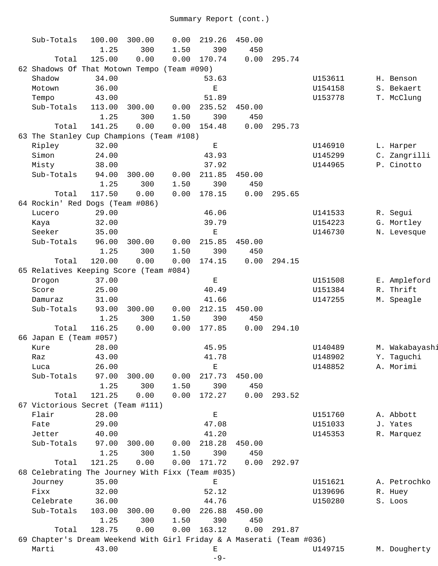| Sub-Totals                                                           | 100.00 | 300.00 | 0.00 | 219.26      | 450.00 |        |         |                |
|----------------------------------------------------------------------|--------|--------|------|-------------|--------|--------|---------|----------------|
|                                                                      | 1.25   | 300    | 1.50 | 390         | 450    |        |         |                |
| Total                                                                | 125.00 | 0.00   | 0.00 | 170.74      | 0.00   | 295.74 |         |                |
| 62 Shadows Of That Motown Tempo (Team #090)                          |        |        |      |             |        |        |         |                |
| Shadow                                                               | 34.00  |        |      | 53.63       |        |        | U153611 | H. Benson      |
| Motown                                                               | 36.00  |        |      | Ε           |        |        | U154158 | S. Bekaert     |
| Tempo                                                                | 43.00  |        |      | 51.89       |        |        | U153778 | T. McClung     |
| Sub-Totals                                                           | 113.00 | 300.00 | 0.00 | 235.52      | 450.00 |        |         |                |
|                                                                      | 1.25   | 300    | 1.50 | 390         | 450    |        |         |                |
| Total                                                                | 141.25 | 0.00   | 0.00 | 154.48      | 0.00   | 295.73 |         |                |
| 63 The Stanley Cup Champions (Team #108)                             |        |        |      |             |        |        |         |                |
| Ripley                                                               | 32.00  |        |      | $\mathbf E$ |        |        | U146910 | L. Harper      |
| Simon                                                                | 24.00  |        |      | 43.93       |        |        | U145299 | C. Zangrilli   |
| Misty                                                                | 38.00  |        |      | 37.92       |        |        | U144965 | P. Cinotto     |
| Sub-Totals                                                           | 94.00  | 300.00 | 0.00 | 211.85      | 450.00 |        |         |                |
|                                                                      | 1.25   | 300    | 1.50 | 390         | 450    |        |         |                |
| Total                                                                | 117.50 | 0.00   | 0.00 | 178.15      | 0.00   | 295.65 |         |                |
| 64 Rockin' Red Dogs (Team #086)                                      |        |        |      |             |        |        |         |                |
| Lucero                                                               | 29.00  |        |      | 46.06       |        |        | U141533 | R. Segui       |
| Kaya                                                                 | 32.00  |        |      | 39.79       |        |        | U154223 | G. Mortley     |
| Seeker                                                               | 35.00  |        |      | $\mathbf E$ |        |        | U146730 | N. Levesque    |
| Sub-Totals                                                           | 96.00  | 300.00 | 0.00 | 215.85      | 450.00 |        |         |                |
|                                                                      | 1.25   | 300    | 1.50 | 390         | 450    |        |         |                |
| Total                                                                | 120.00 | 0.00   | 0.00 | 174.15      | 0.00   | 294.15 |         |                |
| 65 Relatives Keeping Score (Team #084)                               |        |        |      |             |        |        |         |                |
| Drogon                                                               | 37.00  |        |      | $\mathbf E$ |        |        | U151508 | E. Ampleford   |
| Score                                                                | 25.00  |        |      | 40.49       |        |        | U151384 | R. Thrift      |
| Damuraz                                                              | 31.00  |        |      | 41.66       |        |        | U147255 | M. Speagle     |
| Sub-Totals                                                           | 93.00  | 300.00 | 0.00 | 212.15      | 450.00 |        |         |                |
|                                                                      | 1.25   | 300    | 1.50 | 390         | 450    |        |         |                |
| Total                                                                | 116.25 | 0.00   | 0.00 | 177.85      | 0.00   | 294.10 |         |                |
| 66 Japan E (Team #057)                                               |        |        |      |             |        |        |         |                |
| Kure                                                                 | 28.00  |        |      | 45.95       |        |        | U140489 | M. Wakabayashi |
| Raz                                                                  | 43.00  |        |      | 41.78       |        |        | U148902 | Y. Taguchi     |
| Luca                                                                 | 26.00  |        |      | Е           |        |        | U148852 | A. Morimi      |
| Sub-Totals                                                           | 97.00  | 300.00 | 0.00 | 217.73      | 450.00 |        |         |                |
|                                                                      | 1.25   | 300    | 1.50 | 390         | 450    |        |         |                |
| Total                                                                | 121.25 | 0.00   | 0.00 | 172.27      | 0.00   | 293.52 |         |                |
| 67 Victorious Secret (Team #111)                                     |        |        |      |             |        |        |         |                |
| Flair                                                                | 28.00  |        |      | $\mathbf E$ |        |        | U151760 | A. Abbott      |
| Fate                                                                 | 29.00  |        |      | 47.08       |        |        | U151033 | J. Yates       |
| Jetter                                                               | 40.00  |        |      | 41.20       |        |        | U145353 | R. Marquez     |
| Sub-Totals                                                           | 97.00  | 300.00 | 0.00 | 218.28      | 450.00 |        |         |                |
|                                                                      | 1.25   | 300    | 1.50 | 390         | 450    |        |         |                |
| Total                                                                | 121.25 | 0.00   | 0.00 | 171.72      | 0.00   | 292.97 |         |                |
| 68 Celebrating The Journey With Fixx (Team #035)                     |        |        |      |             |        |        |         |                |
| Journey                                                              | 35.00  |        |      | $\mathbf E$ |        |        | U151621 | A. Petrochko   |
| Fixx                                                                 | 32.00  |        |      | 52.12       |        |        | U139696 | R. Huey        |
| Celebrate                                                            | 36.00  |        |      | 44.76       |        |        | U150280 | S. Loos        |
| Sub-Totals                                                           | 103.00 | 300.00 | 0.00 | 226.88      | 450.00 |        |         |                |
|                                                                      | 1.25   | 300    | 1.50 | 390         | 450    |        |         |                |
| Total                                                                | 128.75 | 0.00   | 0.00 | 163.12      | 0.00   | 291.87 |         |                |
| 69 Chapter's Dream Weekend With Girl Friday & A Maserati (Team #036) |        |        |      |             |        |        |         |                |
| Marti                                                                | 43.00  |        |      | Е           |        |        | U149715 | M. Dougherty   |
|                                                                      |        |        |      | $-9-$       |        |        |         |                |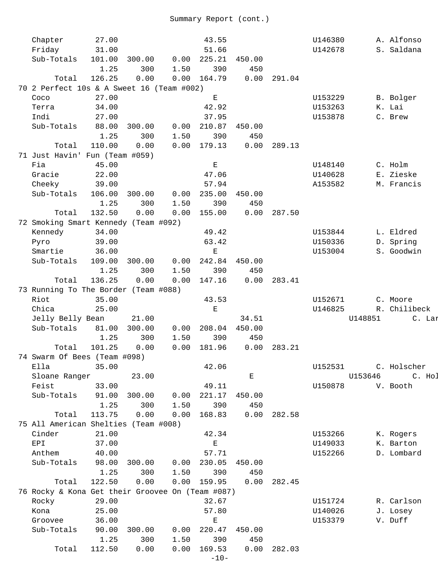| Chapter                                          | 27.00  |        |      | 43.55              |        |        | U146380 |         | A. Alfonso   |
|--------------------------------------------------|--------|--------|------|--------------------|--------|--------|---------|---------|--------------|
| Friday                                           | 31.00  |        |      | 51.66              |        |        | U142678 |         | S. Saldana   |
| Sub-Totals                                       | 101.00 | 300.00 | 0.00 | 225.21             | 450.00 |        |         |         |              |
|                                                  | 1.25   | 300    | 1.50 | 390                | 450    |        |         |         |              |
| Total                                            | 126.25 | 0.00   | 0.00 | 164.79             | 0.00   | 291.04 |         |         |              |
| 70 2 Perfect 10s & A Sweet 16 (Team #002)        |        |        |      |                    |        |        |         |         |              |
| Coco                                             | 27.00  |        |      | $\mathbf{E}% _{0}$ |        |        | U153229 |         | B. Bolger    |
| Terra                                            | 34.00  |        |      | 42.92              |        |        | U153263 |         | K. Lai       |
| Indi                                             | 27.00  |        |      | 37.95              |        |        | U153878 |         | C. Brew      |
| Sub-Totals                                       | 88.00  | 300.00 | 0.00 | 210.87             | 450.00 |        |         |         |              |
|                                                  | 1.25   | 300    | 1.50 | 390                | 450    |        |         |         |              |
|                                                  |        |        |      |                    |        |        |         |         |              |
| Total                                            | 110.00 | 0.00   | 0.00 | 179.13             | 0.00   | 289.13 |         |         |              |
| 71 Just Havin' Fun (Team #059)                   |        |        |      |                    |        |        |         |         |              |
| Fia                                              | 45.00  |        |      | $\mathbf E$        |        |        | U148140 |         | C. Holm      |
| Gracie                                           | 22.00  |        |      | 47.06              |        |        | U140628 |         | E. Zieske    |
| Cheeky                                           | 39.00  |        |      | 57.94              |        |        | A153582 |         | M. Francis   |
| Sub-Totals                                       | 106.00 | 300.00 | 0.00 | 235.00             | 450.00 |        |         |         |              |
|                                                  | 1.25   | 300    | 1.50 | 390                | 450    |        |         |         |              |
| Total                                            | 132.50 | 0.00   | 0.00 | 155.00             | 0.00   | 287.50 |         |         |              |
| 72 Smoking Smart Kennedy (Team #092)             |        |        |      |                    |        |        |         |         |              |
| Kennedy                                          | 34.00  |        |      | 49.42              |        |        | U153844 |         | L. Eldred    |
| Pyro                                             | 39.00  |        |      | 63.42              |        |        | U150336 |         | D. Spring    |
| Smartie                                          | 36.00  |        |      | $\mathbf E$        |        |        | U153004 |         | S. Goodwin   |
| Sub-Totals                                       | 109.00 | 300.00 | 0.00 | 242.84             | 450.00 |        |         |         |              |
|                                                  | 1.25   | 300    | 1.50 | 390                | 450    |        |         |         |              |
| Total                                            | 136.25 | 0.00   | 0.00 | 147.16             | 0.00   | 283.41 |         |         |              |
|                                                  |        |        |      |                    |        |        |         |         |              |
| 73 Running To The Border (Team #088)             |        |        |      |                    |        |        |         |         |              |
| Riot                                             | 35.00  |        |      | 43.53              |        |        | U152671 |         | C. Moore     |
| Chica                                            | 25.00  |        |      | Е                  |        |        | U146825 |         | R. Chilibeck |
| Jelly Belly Bean                                 |        | 21.00  |      |                    | 34.51  |        |         | U148851 | C. Lar       |
| Sub-Totals                                       | 81.00  | 300.00 | 0.00 | 208.04             | 450.00 |        |         |         |              |
|                                                  | 1.25   | 300    | 1.50 | 390                | 450    |        |         |         |              |
| Total                                            | 101.25 | 0.00   | 0.00 | 181.96             | 0.00   | 283.21 |         |         |              |
| 74 Swarm Of Bees (Team #098)                     |        |        |      |                    |        |        |         |         |              |
| Ella                                             | 35.00  |        |      | 42.06              |        |        | U152531 |         | C. Holscher  |
| Sloane Ranger                                    |        | 23.00  |      |                    | Е      |        |         | U153646 | C. Hol       |
| Feist                                            | 33.00  |        |      | 49.11              |        |        | U150878 |         | V. Booth     |
| Sub-Totals                                       | 91.00  | 300.00 | 0.00 | 221.17             | 450.00 |        |         |         |              |
|                                                  | 1.25   | 300    | 1.50 | 390                | 450    |        |         |         |              |
| Total                                            | 113.75 | 0.00   | 0.00 | 168.83             | 0.00   | 282.58 |         |         |              |
| 75 All American Shelties (Team #008)             |        |        |      |                    |        |        |         |         |              |
|                                                  |        |        |      |                    |        |        |         |         |              |
| Cinder                                           | 21.00  |        |      | 42.34              |        |        | U153266 |         | K. Rogers    |
| EPI                                              | 37.00  |        |      | $\mathbf{E}% _{0}$ |        |        | U149033 |         | K. Barton    |
| Anthem                                           | 40.00  |        |      | 57.71              |        |        | U152266 |         | D. Lombard   |
| Sub-Totals                                       | 98.00  | 300.00 | 0.00 | 230.05             | 450.00 |        |         |         |              |
|                                                  | 1.25   | 300    | 1.50 | 390                | 450    |        |         |         |              |
| Total                                            | 122.50 | 0.00   |      | $0.00$ 159.95      | 0.00   | 282.45 |         |         |              |
| 76 Rocky & Kona Get their Groovee On (Team #087) |        |        |      |                    |        |        |         |         |              |
| Rocky                                            | 29.00  |        |      | 32.67              |        |        | U151724 |         | R. Carlson   |
| Kona                                             | 25.00  |        |      | 57.80              |        |        | U140026 |         | J. Losey     |
| Groovee                                          | 36.00  |        |      | $\mathbf E$        |        |        | U153379 |         | V. Duff      |
| Sub-Totals                                       | 90.00  | 300.00 | 0.00 | 220.47             | 450.00 |        |         |         |              |
|                                                  | 1.25   | 300    | 1.50 | 390                | 450    |        |         |         |              |
| Total                                            | 112.50 | 0.00   | 0.00 | 169.53             | 0.00   | 282.03 |         |         |              |
|                                                  |        |        |      | $-10-$             |        |        |         |         |              |
|                                                  |        |        |      |                    |        |        |         |         |              |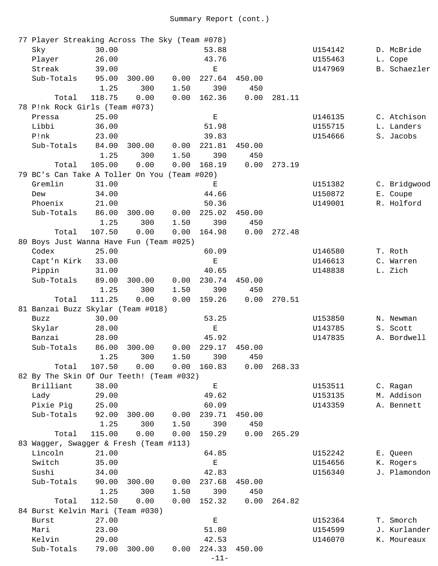| 77 Player Streaking Across The Sky (Team #078) |        |        |      |             |        |        |         |              |
|------------------------------------------------|--------|--------|------|-------------|--------|--------|---------|--------------|
| Sky                                            | 30.00  |        |      | 53.88       |        |        | U154142 | D. McBride   |
| Player                                         | 26.00  |        |      | 43.76       |        |        | U155463 | L. Cope      |
| Streak                                         | 39.00  |        |      | Ε           |        |        | U147969 | B. Schaezler |
| Sub-Totals                                     | 95.00  | 300.00 | 0.00 | 227.64      | 450.00 |        |         |              |
|                                                | 1.25   | 300    | 1.50 | 390         | 450    |        |         |              |
| Total                                          | 118.75 | 0.00   | 0.00 | 162.36      | 0.00   | 281.11 |         |              |
| 78 P!nk Rock Girls (Team #073)                 |        |        |      |             |        |        |         |              |
| Pressa                                         | 25.00  |        |      | Е           |        |        | U146135 | C. Atchison  |
| Libbi                                          | 36.00  |        |      | 51.98       |        |        | U155715 | L. Landers   |
| P!nk                                           | 23.00  |        |      | 39.83       |        |        | U154666 | S. Jacobs    |
| Sub-Totals                                     | 84.00  | 300.00 | 0.00 | 221.81      | 450.00 |        |         |              |
|                                                | 1.25   | 300    | 1.50 | 390         | 450    |        |         |              |
| Total                                          | 105.00 | 0.00   | 0.00 | 168.19      | 0.00   | 273.19 |         |              |
| 79 BC's Can Take A Toller On You (Team #020)   |        |        |      |             |        |        |         |              |
| Gremlin                                        | 31.00  |        |      | Ε           |        |        | U151382 | C. Bridgwood |
| Dew                                            | 34.00  |        |      | 44.66       |        |        | U150872 | E. Coupe     |
| Phoenix                                        | 21.00  |        |      | 50.36       |        |        | U149001 | R. Holford   |
| Sub-Totals                                     | 86.00  | 300.00 | 0.00 | 225.02      | 450.00 |        |         |              |
|                                                | 1.25   | 300    | 1.50 | 390         | 450    |        |         |              |
| Total                                          | 107.50 | 0.00   | 0.00 | 164.98      | 0.00   | 272.48 |         |              |
| 80 Boys Just Wanna Have Fun (Team #025)        |        |        |      |             |        |        |         |              |
| Codex                                          | 25.00  |        |      | 60.09       |        |        | U146580 | T. Roth      |
| Capt'n Kirk                                    | 33.00  |        |      | $\mathbf E$ |        |        | U146613 | C. Warren    |
| Pippin                                         | 31.00  |        |      | 40.65       |        |        | U148838 | L. Zich      |
| Sub-Totals                                     | 89.00  | 300.00 | 0.00 | 230.74      | 450.00 |        |         |              |
|                                                | 1.25   | 300    | 1.50 | 390         | 450    |        |         |              |
| Total                                          | 111.25 | 0.00   | 0.00 | 159.26      | 0.00   | 270.51 |         |              |
| 81 Banzai Buzz Skylar (Team #018)              |        |        |      |             |        |        |         |              |
| <b>Buzz</b>                                    | 30.00  |        |      | 53.25       |        |        | U153850 | N. Newman    |
| Skylar                                         | 28.00  |        |      | $\mathbf E$ |        |        | U143785 | S. Scott     |
| Banzai                                         | 28.00  |        |      | 45.92       |        |        | U147835 | A. Bordwell  |
| Sub-Totals                                     | 86.00  | 300.00 | 0.00 | 229.17      | 450.00 |        |         |              |
|                                                | 1.25   | 300    | 1.50 | 390         | 450    |        |         |              |
| Total                                          | 107.50 | 0.00   | 0.00 | 160.83      | 0.00   | 268.33 |         |              |
| 82 By The Skin Of Our Teeth! (Team #032)       |        |        |      |             |        |        |         |              |
| Brilliant                                      | 38.00  |        |      | Е           |        |        | U153511 | C. Ragan     |
| Lady                                           | 29.00  |        |      | 49.62       |        |        | U153135 | M. Addison   |
| Pixie Pig                                      | 25.00  |        |      | 60.09       |        |        | U143359 | A. Bennett   |
| Sub-Totals                                     | 92.00  | 300.00 | 0.00 | 239.71      | 450.00 |        |         |              |
|                                                | 1.25   | 300    | 1.50 | 390         | 450    |        |         |              |
| Total                                          | 115.00 | 0.00   | 0.00 | 150.29      | 0.00   | 265.29 |         |              |
| 83 Wagger, Swagger & Fresh (Team #113)         |        |        |      |             |        |        |         |              |
| Lincoln                                        | 21.00  |        |      | 64.85       |        |        | U152242 | E. Queen     |
| Switch                                         | 35.00  |        |      | $\mathbf E$ |        |        | U154656 | K. Rogers    |
| Sushi                                          | 34.00  |        |      | 42.83       |        |        | U156340 | J. Plamondon |
| Sub-Totals                                     | 90.00  | 300.00 | 0.00 | 237.68      | 450.00 |        |         |              |
|                                                | 1.25   | 300    | 1.50 | 390         | 450    |        |         |              |
| Total                                          | 112.50 | 0.00   | 0.00 | 152.32      | 0.00   | 264.82 |         |              |
| 84 Burst Kelvin Mari (Team #030)               |        |        |      |             |        |        |         |              |
| <b>Burst</b>                                   | 27.00  |        |      | $\mathbf E$ |        |        | U152364 | T. Smorch    |
| Mari                                           | 23.00  |        |      | 51.80       |        |        | U154599 | J. Kurlander |
| Kelvin                                         | 29.00  |        |      | 42.53       |        |        | U146070 | K. Moureaux  |
| Sub-Totals                                     | 79.00  | 300.00 | 0.00 | 224.33      | 450.00 |        |         |              |
|                                                |        |        |      | $-11-$      |        |        |         |              |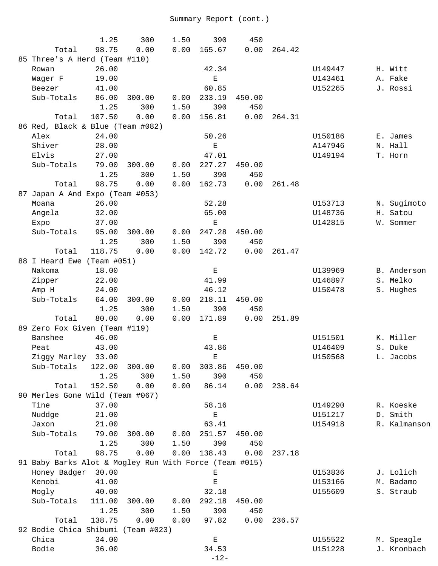|                                                        | 1.25   | 300    | 1.50 | 390                                                                                            | 450    |        |         |              |
|--------------------------------------------------------|--------|--------|------|------------------------------------------------------------------------------------------------|--------|--------|---------|--------------|
| Total                                                  | 98.75  | 0.00   | 0.00 | 165.67                                                                                         | 0.00   | 264.42 |         |              |
| 85 Three's A Herd (Team #110)                          |        |        |      |                                                                                                |        |        |         |              |
| Rowan                                                  | 26.00  |        |      | 42.34                                                                                          |        |        | U149447 | H. Witt      |
| Wager F                                                | 19.00  |        |      | Е                                                                                              |        |        | U143461 | A. Fake      |
| Beezer                                                 | 41.00  |        |      | 60.85                                                                                          |        |        | U152265 | J. Rossi     |
| Sub-Totals                                             | 86.00  | 300.00 | 0.00 | 233.19                                                                                         | 450.00 |        |         |              |
|                                                        | 1.25   | 300    | 1.50 | 390                                                                                            | 450    |        |         |              |
| Total                                                  | 107.50 | 0.00   | 0.00 | 156.81                                                                                         | 0.00   | 264.31 |         |              |
| 86 Red, Black & Blue (Team #082)                       |        |        |      |                                                                                                |        |        |         |              |
| Alex                                                   | 24.00  |        |      | 50.26                                                                                          |        |        | U150186 | E. James     |
| Shiver                                                 | 28.00  |        |      | $\mathbf{E}% _{t}\left  \mathbf{1}\right\rangle =\mathbf{1}_{t}\left  \mathbf{1}\right\rangle$ |        |        | A147946 | N. Hall      |
| Elvis                                                  | 27.00  |        |      | 47.01                                                                                          |        |        | U149194 | T. Horn      |
| Sub-Totals                                             | 79.00  | 300.00 | 0.00 | 227.27                                                                                         | 450.00 |        |         |              |
|                                                        | 1.25   | 300    | 1.50 | 390                                                                                            | 450    |        |         |              |
| Total                                                  | 98.75  | 0.00   | 0.00 | 162.73                                                                                         | 0.00   | 261.48 |         |              |
| 87 Japan A And Expo (Team #053)                        |        |        |      |                                                                                                |        |        |         |              |
| Moana                                                  | 26.00  |        |      | 52.28                                                                                          |        |        | U153713 | N. Sugimoto  |
| Angela                                                 | 32.00  |        |      | 65.00                                                                                          |        |        | U148736 | H. Satou     |
| Expo                                                   | 37.00  |        |      | Ε                                                                                              |        |        | U142815 | W. Sommer    |
| Sub-Totals                                             | 95.00  | 300.00 | 0.00 | 247.28                                                                                         | 450.00 |        |         |              |
|                                                        | 1.25   | 300    | 1.50 | 390                                                                                            | 450    |        |         |              |
| Total                                                  | 118.75 | 0.00   | 0.00 | 142.72                                                                                         | 0.00   | 261.47 |         |              |
| 88 I Heard Ewe (Team #051)                             |        |        |      |                                                                                                |        |        |         |              |
|                                                        |        |        |      |                                                                                                |        |        |         |              |
| Nakoma                                                 | 18.00  |        |      | $\mathbf E$                                                                                    |        |        | U139969 | B. Anderson  |
| Zipper                                                 | 22.00  |        |      | 41.99                                                                                          |        |        | U146897 | S. Melko     |
| Amp H                                                  | 24.00  |        |      | 46.12                                                                                          |        |        | U150478 | S. Hughes    |
| Sub-Totals                                             | 64.00  | 300.00 | 0.00 | 218.11                                                                                         | 450.00 |        |         |              |
|                                                        | 1.25   | 300    | 1.50 | 390                                                                                            | 450    |        |         |              |
| Total                                                  | 80.00  | 0.00   | 0.00 | 171.89                                                                                         | 0.00   | 251.89 |         |              |
| 89 Zero Fox Given (Team #119)                          |        |        |      |                                                                                                |        |        |         |              |
| Banshee                                                | 46.00  |        |      | Е                                                                                              |        |        | U151501 | K. Miller    |
| Peat                                                   | 43.00  |        |      | 43.86                                                                                          |        |        | U146409 | S. Duke      |
| Ziggy Marley 33.00                                     |        |        |      | E                                                                                              |        |        | U150568 | L. Jacobs    |
| Sub-Totals                                             | 122.00 | 300.00 | 0.00 | 303.86                                                                                         | 450.00 |        |         |              |
|                                                        | 1.25   | 300    | 1.50 | 390                                                                                            | 450    |        |         |              |
| Total                                                  | 152.50 | 0.00   | 0.00 | 86.14                                                                                          | 0.00   | 238.64 |         |              |
| 90 Merles Gone Wild (Team #067)                        |        |        |      |                                                                                                |        |        |         |              |
| Tine                                                   | 37.00  |        |      | 58.16                                                                                          |        |        | U149290 | R. Koeske    |
| Nuddge                                                 | 21.00  |        |      | $\mathbf E$                                                                                    |        |        | U151217 | D. Smith     |
| Jaxon                                                  | 21.00  |        |      | 63.41                                                                                          |        |        | U154918 | R. Kalmanson |
| Sub-Totals                                             | 79.00  | 300.00 | 0.00 | 251.57                                                                                         | 450.00 |        |         |              |
|                                                        | 1.25   | 300    | 1.50 | 390                                                                                            | 450    |        |         |              |
| Total                                                  | 98.75  | 0.00   | 0.00 | 138.43                                                                                         | 0.00   | 237.18 |         |              |
| 91 Baby Barks Alot & Mogley Run With Force (Team #015) |        |        |      |                                                                                                |        |        |         |              |
| Honey Badger                                           | 30.00  |        |      | Ε                                                                                              |        |        | U153836 | J. Lolich    |
| Kenobi                                                 | 41.00  |        |      | $\mathbf E$                                                                                    |        |        | U153166 | M. Badamo    |
| Mogly                                                  | 40.00  |        |      | 32.18                                                                                          |        |        | U155609 | S. Straub    |
| Sub-Totals                                             | 111.00 | 300.00 | 0.00 | 292.18                                                                                         | 450.00 |        |         |              |
|                                                        | 1.25   | 300    | 1.50 | 390                                                                                            | 450    |        |         |              |
| Total                                                  | 138.75 | 0.00   | 0.00 | 97.82                                                                                          | 0.00   | 236.57 |         |              |
| 92 Bodie Chica Shibumi (Team #023)                     |        |        |      |                                                                                                |        |        |         |              |
| Chica                                                  | 34.00  |        |      | $\mathbf E$                                                                                    |        |        | U155522 | M. Speagle   |
| Bodie                                                  | 36.00  |        |      | 34.53                                                                                          |        |        | U151228 | J. Kronbach  |
|                                                        |        |        |      | $-12-$                                                                                         |        |        |         |              |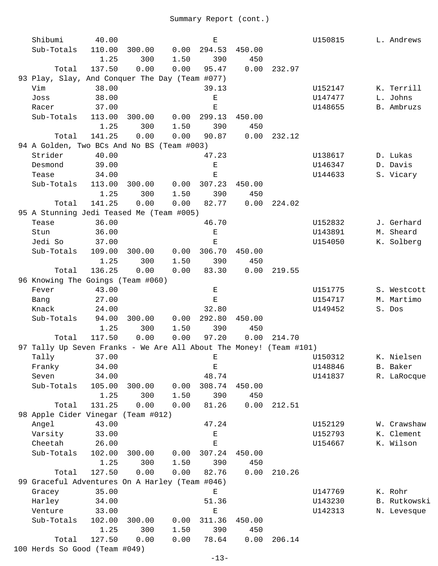| Shibumi                                                            | 40.00  |             |      | Е             |        |        | U150815 | L. Andrews   |
|--------------------------------------------------------------------|--------|-------------|------|---------------|--------|--------|---------|--------------|
| Sub-Totals                                                         | 110.00 | 300.00      | 0.00 | 294.53        | 450.00 |        |         |              |
|                                                                    | 1.25   | 300         | 1.50 | 390           | 450    |        |         |              |
| Total                                                              | 137.50 | 0.00        | 0.00 | 95.47         | 0.00   | 232.97 |         |              |
| 93 Play, Slay, And Conquer The Day (Team #077)                     |        |             |      |               |        |        |         |              |
| Vim                                                                | 38.00  |             |      | 39.13         |        |        | U152147 | K. Terrill   |
| Joss                                                               | 38.00  |             |      | Е             |        |        | U147477 | L. Johns     |
| Racer                                                              | 37.00  |             |      | Ε             |        |        | U148655 | B. Ambruzs   |
| Sub-Totals                                                         | 113.00 | 300.00      | 0.00 | 299.13        | 450.00 |        |         |              |
|                                                                    | 1.25   | 300         | 1.50 | 390           | 450    |        |         |              |
| Total                                                              | 141.25 | 0.00        | 0.00 | 90.87         | 0.00   | 232.12 |         |              |
| 94 A Golden, Two BCs And No BS (Team #003)                         |        |             |      |               |        |        |         |              |
| Strider                                                            | 40.00  |             |      | 47.23         |        |        | U138617 | D. Lukas     |
| Desmond                                                            | 39.00  |             |      | $\mathbf E$   |        |        | U146347 | D. Davis     |
| Tease                                                              | 34.00  |             |      | $\mathbf E$   |        |        | U144633 | S. Vicary    |
| Sub-Totals                                                         | 113.00 | 300.00      | 0.00 | 307.23        | 450.00 |        |         |              |
|                                                                    | 1.25   | 300         | 1.50 | 390           | 450    |        |         |              |
| Total                                                              | 141.25 | 0.00        | 0.00 | 82.77         | 0.00   | 224.02 |         |              |
| 95 A Stunning Jedi Teased Me (Team #005)                           |        |             |      |               |        |        |         |              |
| Tease                                                              | 36.00  |             |      | 46.70         |        |        | U152832 | J. Gerhard   |
| Stun                                                               | 36.00  |             |      | Е             |        |        | U143891 | M. Sheard    |
| Jedi So                                                            | 37.00  |             |      | Е             |        |        | U154050 | K. Solberg   |
| Sub-Totals                                                         | 109.00 | 300.00      | 0.00 | 306.70        | 450.00 |        |         |              |
|                                                                    | 1.25   | 300         | 1.50 | 390           | 450    |        |         |              |
| Total                                                              | 136.25 | 0.00        | 0.00 | 83.30         | 0.00   | 219.55 |         |              |
| 96 Knowing The Goings (Team #060)                                  |        |             |      |               |        |        |         |              |
| Fever                                                              | 43.00  |             |      | Е             |        |        | U151775 | S. Westcott  |
| Bang                                                               | 27.00  |             |      | Е             |        |        | U154717 | M. Martimo   |
| Knack                                                              | 24.00  |             |      | 32.80         |        |        | U149452 | S. Dos       |
| Sub-Totals                                                         | 94.00  | 300.00      |      | $0.00$ 292.80 | 450.00 |        |         |              |
|                                                                    | 1.25   | 300         | 1.50 | 390           | 450    |        |         |              |
| Total                                                              | 117.50 | 0.00        | 0.00 | 97.20         | 0.00   | 214.70 |         |              |
| 97 Tally Up Seven Franks - We Are All About The Money! (Team #101) |        |             |      |               |        |        |         |              |
| Tally 37.00                                                        |        |             |      | $\mathbf{E}$  |        |        | U150312 | K. Nielsen   |
| Franky                                                             | 34.00  |             |      | $\mathbf E$   |        |        | U148846 | B. Baker     |
| Seven                                                              | 34.00  |             |      | 48.74         |        |        | U141837 | R. LaRocque  |
| Sub-Totals                                                         | 105.00 | 300.00      | 0.00 | 308.74        | 450.00 |        |         |              |
|                                                                    | 1.25   | 300         | 1.50 | 390           | 450    |        |         |              |
| Total                                                              | 131.25 | 0.00        | 0.00 | 81.26         | 0.00   | 212.51 |         |              |
| 98 Apple Cider Vinegar                                             |        | (Team #012) |      |               |        |        |         |              |
| Angel                                                              | 43.00  |             |      | 47.24         |        |        | U152129 | W. Crawshaw  |
| Varsity                                                            | 33.00  |             |      | Е             |        |        | U152793 | K. Clement   |
| Cheetah                                                            | 26.00  |             |      | Ε             |        |        | U154667 | K. Wilson    |
| Sub-Totals                                                         | 102.00 | 300.00      | 0.00 | 307.24        | 450.00 |        |         |              |
|                                                                    | 1.25   | 300         | 1.50 | 390           | 450    |        |         |              |
| Total                                                              | 127.50 | 0.00        | 0.00 | 82.76         | 0.00   | 210.26 |         |              |
| 99 Graceful Adventures On A Harley (Team #046)                     |        |             |      |               |        |        |         |              |
| Gracey                                                             | 35.00  |             |      | Е             |        |        | U147769 | K. Rohr      |
| Harley                                                             | 34.00  |             |      | 51.36         |        |        | U143230 | B. Rutkowski |
| Venture                                                            | 33.00  |             |      | $\mathbf E$   |        |        | U142313 | N. Levesque  |
| Sub-Totals                                                         | 102.00 | 300.00      | 0.00 | 311.36        | 450.00 |        |         |              |
|                                                                    | 1.25   | 300         | 1.50 | 390           | 450    |        |         |              |
| Total                                                              | 127.50 | 0.00        | 0.00 | 78.64         | 0.00   | 206.14 |         |              |
| 100 Herds So Good (Team #049)                                      |        |             |      |               |        |        |         |              |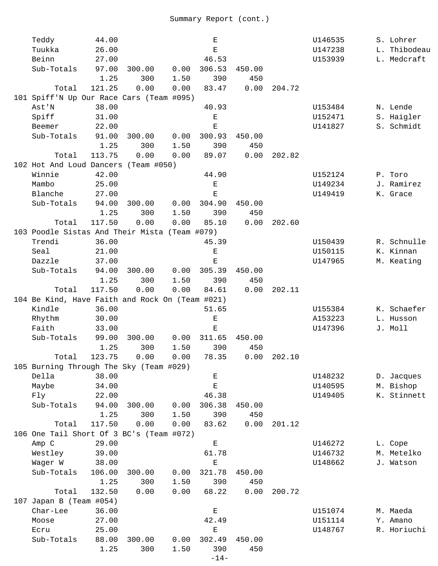| Teddy                                           | 44.00  |        |      | Ε                  |        |             | U146535 | S. Lohrer    |
|-------------------------------------------------|--------|--------|------|--------------------|--------|-------------|---------|--------------|
| Tuukka                                          | 26.00  |        |      | $\mathbf E$        |        |             | U147238 | L. Thibodeau |
| Beinn                                           | 27.00  |        |      | 46.53              |        |             | U153939 | L. Medcraft  |
| Sub-Totals                                      | 97.00  | 300.00 | 0.00 | 306.53             | 450.00 |             |         |              |
|                                                 | 1.25   | 300    | 1.50 | 390                | 450    |             |         |              |
| Total                                           | 121.25 | 0.00   | 0.00 | 83.47              | 0.00   | 204.72      |         |              |
| 101 Spiff'N Up Our Race Cars (Team #095)        |        |        |      |                    |        |             |         |              |
| Ast'N                                           | 38.00  |        |      | 40.93              |        |             | U153484 | N. Lende     |
| Spiff                                           | 31.00  |        |      | $\mathbf E$        |        |             | U152471 | S. Haigler   |
| Beemer                                          | 22.00  |        |      | $\mathbf E$        |        |             | U141827 | S. Schmidt   |
| Sub-Totals                                      | 91.00  | 300.00 | 0.00 | 300.93             | 450.00 |             |         |              |
|                                                 | 1.25   | 300    | 1.50 | 390                | 450    |             |         |              |
| Total                                           | 113.75 | 0.00   | 0.00 | 89.07              | 0.00   | 202.82      |         |              |
| 102 Hot And Loud Dancers (Team #050)            |        |        |      |                    |        |             |         |              |
| Winnie                                          | 42.00  |        |      | 44.90              |        |             | U152124 | P. Toro      |
| Mambo                                           | 25.00  |        |      | $\mathbf E$        |        |             | U149234 | J. Ramirez   |
| Blanche                                         | 27.00  |        |      | $\mathbf E$        |        |             | U149419 | K. Grace     |
| Sub-Totals                                      | 94.00  |        | 0.00 |                    | 450.00 |             |         |              |
|                                                 |        | 300.00 |      | 304.90             |        |             |         |              |
|                                                 | 1.25   | 300    | 1.50 | 390                | 450    |             |         |              |
| Total                                           | 117.50 | 0.00   | 0.00 | 85.10              | 0.00   | 202.60      |         |              |
| 103 Poodle Sistas And Their Mista (Team #079)   |        |        |      |                    |        |             |         |              |
| Trendi                                          | 36.00  |        |      | 45.39              |        |             | U150439 | R. Schnulle  |
| Seal                                            | 21.00  |        |      | $\mathbf E$        |        |             | U150115 | K. Kinnan    |
| Dazzle                                          | 37.00  |        |      | $\mathbf E$        |        |             | U147965 | M. Keating   |
| Sub-Totals                                      | 94.00  | 300.00 | 0.00 | 305.39             | 450.00 |             |         |              |
|                                                 | 1.25   | 300    | 1.50 | 390                | 450    |             |         |              |
| Total                                           | 117.50 | 0.00   | 0.00 | 84.61              | 0.00   | 202.11      |         |              |
| 104 Be Kind, Have Faith and Rock On (Team #021) |        |        |      |                    |        |             |         |              |
| Kindle                                          | 36.00  |        |      | 51.65              |        |             | U155384 | K. Schaefer  |
| Rhythm                                          | 30.00  |        |      | Ε                  |        |             | A153223 | L. Husson    |
| Faith                                           | 33.00  |        |      | Ε                  |        |             | U147396 | J. Moll      |
| Sub-Totals                                      | 99.00  | 300.00 | 0.00 | 311.65             | 450.00 |             |         |              |
|                                                 | 1.25   | 300    | 1.50 | 390                | 450    |             |         |              |
| Total                                           | 123.75 | 0.00   | 0.00 | 78.35              |        | 0.00 202.10 |         |              |
| 105 Burning Through The Sky (Team #029)         |        |        |      |                    |        |             |         |              |
| Della                                           | 38.00  |        |      | $\mathbf E$        |        |             | U148232 | D. Jacques   |
| Maybe                                           | 34.00  |        |      | $\mathbf E$        |        |             | U140595 | M. Bishop    |
| Fly                                             | 22.00  |        |      | 46.38              |        |             | U149405 | K. Stinnett  |
| Sub-Totals                                      | 94.00  | 300.00 | 0.00 | 306.38             | 450.00 |             |         |              |
|                                                 | 1.25   | 300    | 1.50 | 390                | 450    |             |         |              |
| Total                                           | 117.50 | 0.00   | 0.00 | 83.62              | 0.00   | 201.12      |         |              |
| 106 One Tail Short Of 3 BC's (Team #072)        |        |        |      |                    |        |             |         |              |
| Amp C                                           | 29.00  |        |      | $\mathbf E$        |        |             | U146272 | L. Cope      |
| Westley                                         | 39.00  |        |      | 61.78              |        |             | U146732 | M. Metelko   |
| Wager W                                         | 38.00  |        |      | $\mathbf{E}% _{0}$ |        |             | U148662 | J. Watson    |
| Sub-Totals                                      | 106.00 | 300.00 | 0.00 | 321.78             | 450.00 |             |         |              |
|                                                 | 1.25   | 300    | 1.50 | 390                | 450    |             |         |              |
| Total                                           | 132.50 | 0.00   | 0.00 | 68.22              | 0.00   | 200.72      |         |              |
| 107 Japan B (Team #054)                         |        |        |      |                    |        |             |         |              |
| Char-Lee                                        | 36.00  |        |      | $\mathbf{E}% _{0}$ |        |             | U151074 | M. Maeda     |
| Moose                                           | 27.00  |        |      | 42.49              |        |             | U151114 | Y. Amano     |
| Ecru                                            | 25.00  |        |      | E                  |        |             | U148767 | R. Horiuchi  |
| Sub-Totals                                      | 88.00  | 300.00 | 0.00 | 302.49             | 450.00 |             |         |              |
|                                                 | 1.25   | 300    | 1.50 | 390                | 450    |             |         |              |
|                                                 |        |        |      | $-14-$             |        |             |         |              |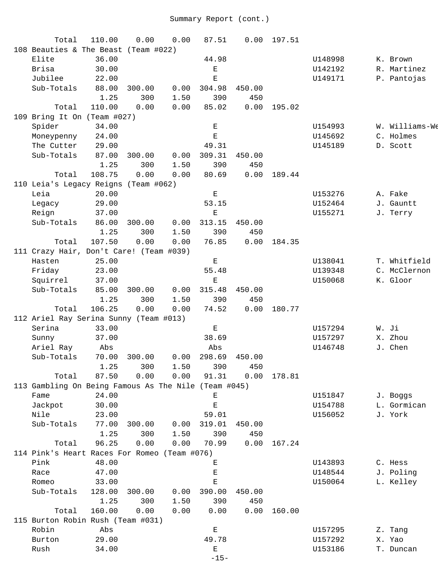| Total                                                | 110.00 | 0.00   | 0.00 | 87.51       | 0.00   | 197.51 |         |                |
|------------------------------------------------------|--------|--------|------|-------------|--------|--------|---------|----------------|
| 108 Beauties & The Beast (Team #022)                 |        |        |      |             |        |        |         |                |
| Elite                                                | 36.00  |        |      | 44.98       |        |        | U148998 | K. Brown       |
| Brisa                                                | 30.00  |        |      | $\mathbf E$ |        |        | U142192 | R. Martinez    |
| Jubilee                                              | 22.00  |        |      | Е           |        |        | U149171 | P. Pantojas    |
| Sub-Totals                                           | 88.00  | 300.00 | 0.00 | 304.98      | 450.00 |        |         |                |
|                                                      | 1.25   | 300    | 1.50 | 390         | 450    |        |         |                |
| Total                                                | 110.00 | 0.00   | 0.00 | 85.02       | 0.00   | 195.02 |         |                |
| 109 Bring It On (Team #027)                          |        |        |      |             |        |        |         |                |
| Spider                                               | 34.00  |        |      | $\mathbf E$ |        |        | U154993 | W. Williams-We |
| Moneypenny                                           | 24.00  |        |      | $\mathbf E$ |        |        | U145692 | C. Holmes      |
| The Cutter                                           | 29.00  |        |      | 49.31       |        |        | U145189 | D. Scott       |
| Sub-Totals                                           | 87.00  | 300.00 | 0.00 | 309.31      | 450.00 |        |         |                |
|                                                      | 1.25   | 300    | 1.50 | 390         | 450    |        |         |                |
| Total                                                | 108.75 | 0.00   | 0.00 | 80.69       | 0.00   | 189.44 |         |                |
| 110 Leia's Legacy Reigns (Team #062)                 |        |        |      |             |        |        |         |                |
| Leia                                                 | 20.00  |        |      | $\mathbf E$ |        |        | U153276 | A. Fake        |
| Legacy                                               | 29.00  |        |      | 53.15       |        |        | U152464 | J. Gauntt      |
| Reign                                                | 37.00  |        |      | $\mathbf E$ |        |        | U155271 | J. Terry       |
| Sub-Totals                                           | 86.00  | 300.00 | 0.00 | 313.15      | 450.00 |        |         |                |
|                                                      | 1.25   | 300    | 1.50 | 390         | 450    |        |         |                |
| Total                                                | 107.50 | 0.00   | 0.00 | 76.85       | 0.00   | 184.35 |         |                |
| 111 Crazy Hair, Don't Care! (Team #039)              |        |        |      |             |        |        |         |                |
| Hasten                                               | 25.00  |        |      | $\mathbf E$ |        |        | U138041 | T. Whitfield   |
| Friday                                               | 23.00  |        |      | 55.48       |        |        | U139348 | C. McClernon   |
| Squirrel                                             | 37.00  |        |      | Е           |        |        | U150068 | K. Gloor       |
| Sub-Totals                                           | 85.00  | 300.00 | 0.00 | 315.48      | 450.00 |        |         |                |
|                                                      | 1.25   | 300    | 1.50 | 390         | 450    |        |         |                |
| Total                                                | 106.25 | 0.00   | 0.00 | 74.52       | 0.00   | 180.77 |         |                |
| 112 Ariel Ray Serina Sunny (Team #013)               |        |        |      |             |        |        |         |                |
| Serina                                               | 33.00  |        |      | $\mathbf E$ |        |        | U157294 | W. Ji          |
| Sunny                                                | 37.00  |        |      | 38.69       |        |        | U157297 | X. Zhou        |
| Ariel Ray                                            | Abs    |        |      | Abs         |        |        | U146748 | J. Chen        |
| Sub-Totals                                           | 70.00  | 300.00 | 0.00 | 298.69      | 450.00 |        |         |                |
|                                                      | 1.25   | 300    | 1.50 | 390         | 450    |        |         |                |
| Total                                                | 87.50  | 0.00   | 0.00 | 91.31       | 0.00   | 178.81 |         |                |
| 113 Gambling On Being Famous As The Nile (Team #045) |        |        |      |             |        |        |         |                |
| Fame                                                 | 24.00  |        |      | Е           |        |        | U151847 | J. Boggs       |
| Jackpot                                              | 30.00  |        |      | $\mathbf E$ |        |        | U154788 | L. Gormican    |
| Nile                                                 | 23.00  |        |      | 59.01       |        |        | U156052 | J. York        |
| Sub-Totals                                           | 77.00  | 300.00 | 0.00 | 319.01      | 450.00 |        |         |                |
|                                                      | 1.25   | 300    | 1.50 | 390         | 450    |        |         |                |
| Total                                                | 96.25  | 0.00   | 0.00 | 70.99       | 0.00   | 167.24 |         |                |
| 114 Pink's Heart Races For Romeo (Team #076)         |        |        |      |             |        |        |         |                |
| Pink                                                 | 48.00  |        |      | Ε           |        |        | U143893 | C. Hess        |
| Race                                                 | 47.00  |        |      | Ε           |        |        | U148544 | J. Poling      |
| Romeo                                                | 33.00  |        |      | Е           |        |        | U150064 | L. Kelley      |
| Sub-Totals                                           | 128.00 | 300.00 | 0.00 | 390.00      | 450.00 |        |         |                |
|                                                      | 1.25   | 300    | 1.50 | 390         | 450    |        |         |                |
|                                                      |        |        |      |             |        |        |         |                |
| Total                                                | 160.00 | 0.00   | 0.00 | 0.00        | 0.00   | 160.00 |         |                |
| 115 Burton Robin Rush (Team #031)                    |        |        |      |             |        |        |         |                |
| Robin                                                | Abs    |        |      | $\mathbf E$ |        |        | U157295 | Z. Tang        |
| Burton                                               | 29.00  |        |      | 49.78       |        |        | U157292 | X. Yao         |
| Rush                                                 | 34.00  |        |      | Е<br>$-15-$ |        |        | U153186 | T. Duncan      |
|                                                      |        |        |      |             |        |        |         |                |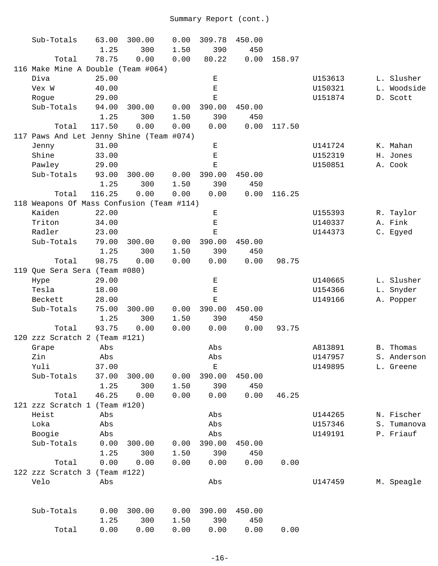| Sub-Totals                                | 63.00  | 300.00 | 0.00 | 309.78      | 450.00 |        |         |             |
|-------------------------------------------|--------|--------|------|-------------|--------|--------|---------|-------------|
|                                           | 1.25   | 300    | 1.50 | 390         | 450    |        |         |             |
| Total                                     | 78.75  | 0.00   | 0.00 | 80.22       | 0.00   | 158.97 |         |             |
| 116 Make Mine A Double (Team #064)        |        |        |      |             |        |        |         |             |
| Diva                                      | 25.00  |        |      | Е           |        |        | U153613 | L. Slusher  |
| Vex W                                     | 40.00  |        |      | Ε           |        |        | U150321 | L. Woodside |
| Rogue                                     | 29.00  |        |      | $\mathbf E$ |        |        | U151874 | D. Scott    |
| Sub-Totals                                | 94.00  | 300.00 | 0.00 | 390.00      | 450.00 |        |         |             |
|                                           | 1.25   | 300    | 1.50 | 390         | 450    |        |         |             |
| Total                                     | 117.50 | 0.00   | 0.00 | 0.00        | 0.00   | 117.50 |         |             |
| 117 Paws And Let Jenny Shine (Team #074)  |        |        |      |             |        |        |         |             |
| Jenny                                     | 31.00  |        |      | $\mathbf E$ |        |        | U141724 | K. Mahan    |
| Shine                                     | 33.00  |        |      | $\mathbf E$ |        |        | U152319 | H. Jones    |
| Pawley                                    | 29.00  |        |      | Ε           |        |        | U150851 | A. Cook     |
| Sub-Totals                                | 93.00  | 300.00 | 0.00 | 390.00      | 450.00 |        |         |             |
|                                           | 1.25   | 300    | 1.50 | 390         | 450    |        |         |             |
| Total                                     | 116.25 | 0.00   | 0.00 | 0.00        | 0.00   | 116.25 |         |             |
| 118 Weapons Of Mass Confusion (Team #114) |        |        |      |             |        |        |         |             |
| Kaiden                                    | 22.00  |        |      | $\mathbf E$ |        |        | U155393 | R. Taylor   |
| Triton                                    | 34.00  |        |      | $\mathbf E$ |        |        | U140337 | A. Fink     |
| Radler                                    | 23.00  |        |      | $\mathbf E$ |        |        | U144373 | C. Egyed    |
| Sub-Totals                                | 79.00  | 300.00 | 0.00 | 390.00      | 450.00 |        |         |             |
|                                           | 1.25   | 300    | 1.50 | 390         | 450    |        |         |             |
| Total                                     | 98.75  | 0.00   | 0.00 | 0.00        | 0.00   | 98.75  |         |             |
| 119 Que Sera Sera (Team #080)             |        |        |      |             |        |        |         |             |
| Hype                                      | 29.00  |        |      | Ε           |        |        | U140665 | L. Slusher  |
| Tesla                                     | 18.00  |        |      | Ε           |        |        | U154366 | L. Snyder   |
| Beckett                                   | 28.00  |        |      | $\mathbf E$ |        |        | U149166 | A. Popper   |
| Sub-Totals                                | 75.00  | 300.00 | 0.00 | 390.00      | 450.00 |        |         |             |
|                                           | 1.25   | 300    | 1.50 | 390         | 450    |        |         |             |
| Total                                     | 93.75  | 0.00   | 0.00 | 0.00        | 0.00   | 93.75  |         |             |
| 120 zzz Scratch 2 (Team #121)             |        |        |      |             |        |        |         |             |
| Grape                                     | Abs    |        |      | Abs         |        |        | A813891 | B. Thomas   |
| Zin                                       | Abs    |        |      | Abs         |        |        | U147957 | S. Anderson |
| Yuli                                      | 37.00  |        |      | $\mathbf E$ |        |        | U149895 | L. Greene   |
| Sub-Totals                                | 37.00  | 300.00 | 0.00 | 390.00      | 450.00 |        |         |             |
|                                           | 1.25   | 300    | 1.50 | 390         | 450    |        |         |             |
| Total                                     | 46.25  | 0.00   | 0.00 | 0.00        | 0.00   | 46.25  |         |             |
| 121 zzz Scratch 1 (Team #120)             |        |        |      |             |        |        |         |             |
| Heist                                     | Abs    |        |      | Abs         |        |        | U144265 | N. Fischer  |
| Loka                                      | Abs    |        |      | Abs         |        |        | U157346 | S. Tumanova |
| Boogie                                    | Abs    |        |      | Abs         |        |        | U149191 | P. Friauf   |
| Sub-Totals                                | 0.00   | 300.00 | 0.00 | 390.00      | 450.00 |        |         |             |
|                                           | 1.25   | 300    | 1.50 | 390         | 450    |        |         |             |
| Total                                     | 0.00   | 0.00   | 0.00 | 0.00        | 0.00   | 0.00   |         |             |
| 122 zzz Scratch 3 (Team #122)             |        |        |      |             |        |        |         |             |
| Velo                                      | Abs    |        |      | Abs         |        |        | U147459 | M. Speagle  |
| Sub-Totals                                | 0.00   | 300.00 | 0.00 | 390.00      | 450.00 |        |         |             |
|                                           | 1.25   | 300    | 1.50 | 390         | 450    |        |         |             |
| Total                                     | 0.00   | 0.00   | 0.00 | 0.00        | 0.00   | 0.00   |         |             |